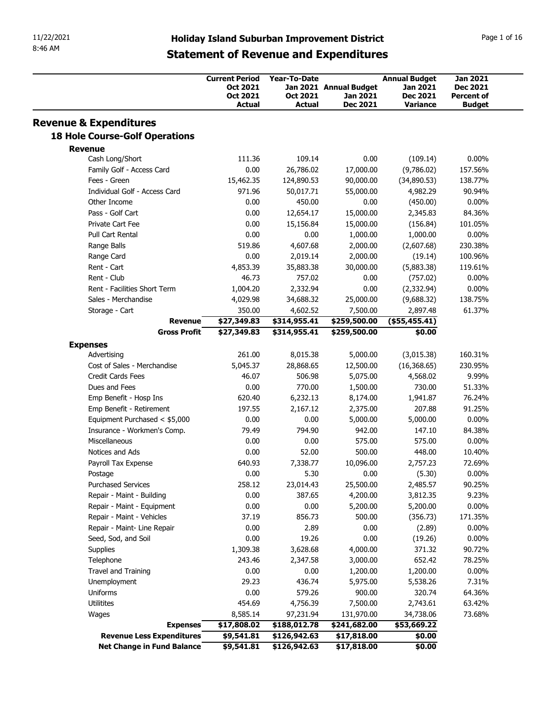| 11/22/2021<br>8:46 AM             |                                                              |                                                     |                              |                              |                             |                             |
|-----------------------------------|--------------------------------------------------------------|-----------------------------------------------------|------------------------------|------------------------------|-----------------------------|-----------------------------|
|                                   |                                                              |                                                     |                              |                              |                             |                             |
|                                   |                                                              | <b>Holiday Island Suburban Improvement District</b> |                              |                              |                             | Page 1 of 16                |
|                                   |                                                              | <b>Statement of Revenue and Expenditures</b>        |                              |                              |                             |                             |
|                                   |                                                              | <b>Current Period</b>                               | Year-To-Date                 |                              | <b>Annual Budget</b>        | Jan 2021                    |
|                                   |                                                              | Oct 2021                                            |                              | Jan 2021 Annual Budget       | Jan 2021                    | Dec 2021                    |
|                                   |                                                              | Oct 2021<br><b>Actual</b>                           | Oct 2021<br>Actual           | Jan 2021<br><b>Dec 2021</b>  | <b>Dec 2021</b><br>Variance | Percent of<br><b>Budget</b> |
| <b>Revenue &amp; Expenditures</b> |                                                              |                                                     |                              |                              |                             |                             |
|                                   | <b>18 Hole Course-Golf Operations</b>                        |                                                     |                              |                              |                             |                             |
| <b>Revenue</b>                    | Cash Long/Short                                              | 111.36                                              | 109.14                       | 0.00                         | (109.14)                    | $0.00\%$                    |
|                                   | Family Golf - Access Card                                    | 0.00                                                | 26,786.02                    | 17,000.00                    | (9,786.02)                  | 157.56%                     |
| Fees - Green                      | Individual Golf - Access Card                                | 15,462.35<br>971.96                                 | 124,890.53<br>50,017.71      | 90,000.00<br>55,000.00       | (34,890.53)<br>4,982.29     | 138.77%<br>90.94%           |
|                                   | Other Income                                                 | 0.00                                                | 450.00                       | 0.00                         | (450.00)                    | $0.00\%$                    |
|                                   | Pass - Golf Cart                                             | 0.00                                                | 12,654.17                    | 15,000.00                    | 2,345.83                    | 84.36%                      |
|                                   | Private Cart Fee<br>Pull Cart Rental                         | 0.00<br>0.00                                        | 15,156.84<br>0.00            | 15,000.00<br>1,000.00        | (156.84)<br>1,000.00        | 101.05%<br>$0.00\%$         |
| Range Balls                       |                                                              | 519.86                                              | 4,607.68                     | 2,000.00                     | (2,607.68)                  | 230.38%                     |
| Range Card                        |                                                              | 0.00                                                | 2,019.14                     | 2,000.00                     | (19.14)                     | 100.96%                     |
| Rent - Cart                       |                                                              | 4,853.39                                            | 35,883.38                    | 30,000.00                    | (5,883.38)                  | 119.61%                     |
| Rent - Club                       | Rent - Facilities Short Term                                 | 46.73<br>1,004.20                                   | 757.02<br>2,332.94           | 0.00<br>0.00                 | (757.02)<br>(2,332.94)      | $0.00\%$<br>$0.00\%$        |
|                                   | Sales - Merchandise                                          | 4,029.98                                            | 34,688.32                    | 25,000.00                    | (9,688.32)                  | 138.75%                     |
|                                   | Storage - Cart                                               | 350.00                                              | 4,602.52                     | 7,500.00                     | 2,897.48                    | 61.37%                      |
|                                   | <b>Revenue</b><br><b>Gross Profit</b>                        | \$27,349.83<br>\$27,349.83                          | \$314,955.41<br>\$314,955.41 | \$259,500.00<br>\$259,500.00 | $($ \$55,455.41)<br>\$0.00  |                             |
| <b>Expenses</b>                   |                                                              |                                                     |                              |                              |                             |                             |
| Advertising                       |                                                              | 261.00                                              | 8,015.38                     | 5,000.00                     | (3,015.38)                  | 160.31%                     |
|                                   | Cost of Sales - Merchandise                                  | 5,045.37                                            | 28,868.65                    | 12,500.00                    | (16, 368.65)                | 230.95%                     |
|                                   | Credit Cards Fees<br>Dues and Fees                           | 46.07<br>0.00                                       | 506.98<br>770.00             | 5,075.00<br>1,500.00         | 4,568.02<br>730.00          | 9.99%<br>51.33%             |
|                                   | Emp Benefit - Hosp Ins                                       | 620.40                                              | 6,232.13                     | 8,174.00                     | 1,941.87                    | 76.24%                      |
|                                   | Emp Benefit - Retirement                                     | 197.55                                              | 2,167.12                     | 2,375.00                     | 207.88                      | 91.25%                      |
|                                   | Equipment Purchased < \$5,000<br>Insurance - Workmen's Comp. | 0.00<br>79.49                                       | 0.00<br>794.90               | 5,000.00<br>942.00           | 5,000.00<br>147.10          | $0.00\%$<br>84.38%          |
| Miscellaneous                     |                                                              | 0.00                                                | 0.00                         | 575.00                       | 575.00                      | $0.00\%$                    |
|                                   | Notices and Ads                                              | 0.00                                                | 52.00                        | 500.00                       | 448.00                      | 10.40%                      |
| Postage                           | Payroll Tax Expense                                          | 640.93<br>0.00                                      | 7,338.77<br>5.30             | 10,096.00<br>0.00            | 2,757.23<br>(5.30)          | 72.69%<br>$0.00\%$          |
|                                   | <b>Purchased Services</b>                                    | 258.12                                              | 23,014.43                    | 25,500.00                    | 2,485.57                    | 90.25%                      |
|                                   | Repair - Maint - Building                                    | 0.00                                                | 387.65                       | 4,200.00                     | 3,812.35                    | 9.23%                       |
|                                   | Repair - Maint - Equipment                                   | 0.00                                                | 0.00                         | 5,200.00                     | 5,200.00                    | $0.00\%$                    |
|                                   | Repair - Maint - Vehicles<br>Repair - Maint- Line Repair     | 37.19<br>0.00                                       | 856.73<br>2.89               | 500.00<br>0.00               | (356.73)<br>(2.89)          | 171.35%<br>$0.00\%$         |
|                                   | Seed, Sod, and Soil                                          | 0.00                                                | 19.26                        | 0.00                         | (19.26)                     | $0.00\%$                    |
| Supplies                          |                                                              | 1,309.38                                            | 3,628.68                     | 4,000.00                     | 371.32                      | 90.72%                      |
| Telephone                         |                                                              | 243.46                                              | 2,347.58                     | 3,000.00                     | 652.42                      | 78.25%                      |
|                                   | Travel and Training<br>Unemployment                          | 0.00<br>29.23                                       | 0.00<br>436.74               | 1,200.00<br>5,975.00         | 1,200.00<br>5,538.26        | $0.00\%$<br>7.31%           |
| Uniforms                          |                                                              | 0.00                                                | 579.26                       | 900.00                       | 320.74                      | 64.36%                      |
| Utilitites                        |                                                              | 454.69                                              | 4,756.39                     | 7,500.00                     | 2,743.61                    | 63.42%                      |
| Wages                             | <b>Expenses</b>                                              | 8,585.14<br>\$17,808.02                             | 97,231.94<br>\$188,012.78    | 131,970.00<br>\$241,682.00   | 34,738.06<br>\$53,669.22    | 73.68%                      |
|                                   | Revenue Less Expenditures                                    | \$9,541.81                                          | \$126,942.63                 | \$17,818.00                  | \$0.00                      |                             |
|                                   | Net Change in Fund Balance                                   | \$9,541.81                                          |                              |                              |                             |                             |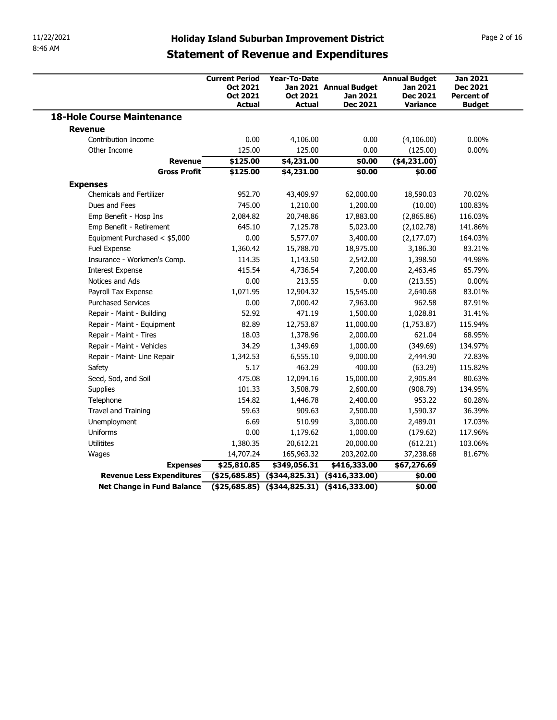| 11/22/2021                              |                                                                                               |                                                |                                           |                                                     |                                                         |
|-----------------------------------------|-----------------------------------------------------------------------------------------------|------------------------------------------------|-------------------------------------------|-----------------------------------------------------|---------------------------------------------------------|
| 8:46 AM                                 | <b>Holiday Island Suburban Improvement District</b>                                           |                                                |                                           |                                                     | Page 2 of 16                                            |
|                                         | <b>Statement of Revenue and Expenditures</b><br><b>Current Period</b><br>Oct 2021<br>Oct 2021 | Year-To-Date<br>Oct 2021                       | Jan 2021 Annual Budget<br><b>Jan 2021</b> | <b>Annual Budget</b><br>Jan 2021<br><b>Dec 2021</b> | <b>Jan 2021</b><br><b>Dec 2021</b><br><b>Percent of</b> |
| <b>18-Hole Course Maintenance</b>       | Actual                                                                                        | <b>Actual</b>                                  | Dec 2021                                  | <b>Variance</b>                                     | <b>Budget</b>                                           |
| <b>Revenue</b>                          |                                                                                               |                                                |                                           |                                                     |                                                         |
| Contribution Income                     | 0.00                                                                                          | 4,106.00                                       | 0.00                                      | (4,106.00)                                          | $0.00\%$                                                |
| Other Income                            | 125.00                                                                                        | 125.00                                         | 0.00                                      | (125.00)                                            | $0.00\%$                                                |
| Revenue                                 | \$125.00                                                                                      | \$4,231.00                                     | \$0.00                                    | ( \$4, 231.00)                                      |                                                         |
| <b>Gross Profit</b>                     | \$125.00                                                                                      | \$4,231.00                                     | \$0.00                                    | \$0.00                                              |                                                         |
| <b>Expenses</b>                         |                                                                                               |                                                |                                           |                                                     |                                                         |
| <b>Chemicals and Fertilizer</b>         | 952.70                                                                                        | 43,409.97                                      | 62,000.00                                 | 18,590.03                                           | 70.02%                                                  |
| Dues and Fees<br>Emp Benefit - Hosp Ins | 745.00<br>2,084.82                                                                            | 1,210.00<br>20,748.86                          | 1,200.00<br>17,883.00                     | (10.00)<br>(2,865.86)                               | 100.83%<br>116.03%                                      |
| Emp Benefit - Retirement                | 645.10                                                                                        | 7,125.78                                       | 5,023.00                                  | (2,102.78)                                          | 141.86%                                                 |
| Equipment Purchased < \$5,000           | 0.00                                                                                          | 5,577.07                                       | 3,400.00                                  | (2, 177.07)                                         | 164.03%                                                 |
| Fuel Expense                            | 1,360.42                                                                                      | 15,788.70                                      | 18,975.00                                 | 3,186.30                                            | 83.21%                                                  |
| Insurance - Workmen's Comp.             | 114.35                                                                                        | 1,143.50                                       | 2,542.00                                  | 1,398.50                                            | 44.98%                                                  |
| <b>Interest Expense</b>                 | 415.54                                                                                        | 4,736.54                                       | 7,200.00                                  | 2,463.46                                            | 65.79%                                                  |
| Notices and Ads                         | 0.00                                                                                          | 213.55                                         | 0.00                                      | (213.55)                                            | $0.00\%$                                                |
| Payroll Tax Expense                     | 1,071.95                                                                                      | 12,904.32                                      | 15,545.00                                 | 2,640.68                                            | 83.01%                                                  |
| <b>Purchased Services</b>               | 0.00                                                                                          | 7,000.42                                       | 7,963.00                                  | 962.58                                              | 87.91%                                                  |
| Repair - Maint - Building               | 52.92                                                                                         | 471.19                                         | 1,500.00                                  | 1,028.81                                            | 31.41%                                                  |
| Repair - Maint - Equipment              | 82.89                                                                                         | 12,753.87                                      | 11,000.00                                 | (1,753.87)                                          | 115.94%                                                 |
| Repair - Maint - Tires                  | 18.03                                                                                         | 1,378.96                                       | 2,000.00                                  | 621.04                                              | 68.95%                                                  |
| Repair - Maint - Vehicles               | 34.29                                                                                         | 1,349.69                                       | 1,000.00                                  | (349.69)                                            | 134.97%                                                 |
| Repair - Maint- Line Repair<br>Safety   | 1,342.53<br>5.17                                                                              | 6,555.10<br>463.29                             | 9,000.00<br>400.00                        | 2,444.90<br>(63.29)                                 | 72.83%<br>115.82%                                       |
| Seed, Sod, and Soil                     | 475.08                                                                                        | 12,094.16                                      | 15,000.00                                 | 2,905.84                                            | 80.63%                                                  |
| Supplies                                | 101.33                                                                                        | 3,508.79                                       | 2,600.00                                  | (908.79)                                            | 134.95%                                                 |
| Telephone                               | 154.82                                                                                        | 1,446.78                                       | 2,400.00                                  | 953.22                                              | 60.28%                                                  |
| Travel and Training                     | 59.63                                                                                         | 909.63                                         | 2,500.00                                  | 1,590.37                                            | 36.39%                                                  |
| Unemployment                            | 6.69                                                                                          | 510.99                                         | 3,000.00                                  | 2,489.01                                            | 17.03%                                                  |
|                                         | 0.00                                                                                          | 1,179.62                                       | 1,000.00                                  | (179.62)                                            | 117.96%                                                 |
| Uniforms                                | 1,380.35                                                                                      | 20,612.21                                      | 20,000.00                                 | (612.21)                                            | 103.06%                                                 |
| Utilitites                              | 14,707.24                                                                                     | 165,963.32                                     | 203,202.00                                | 37,238.68                                           | 81.67%                                                  |
| Wages                                   |                                                                                               | \$349,056.31                                   | \$416,333.00                              | \$67,276.69                                         |                                                         |
| <b>Expenses</b>                         | \$25,810.85                                                                                   |                                                |                                           |                                                     |                                                         |
| <b>Revenue Less Expenditures</b>        |                                                                                               | $($ \$25,685.85) (\$344,825.31) (\$416,333.00) |                                           | \$0.00                                              |                                                         |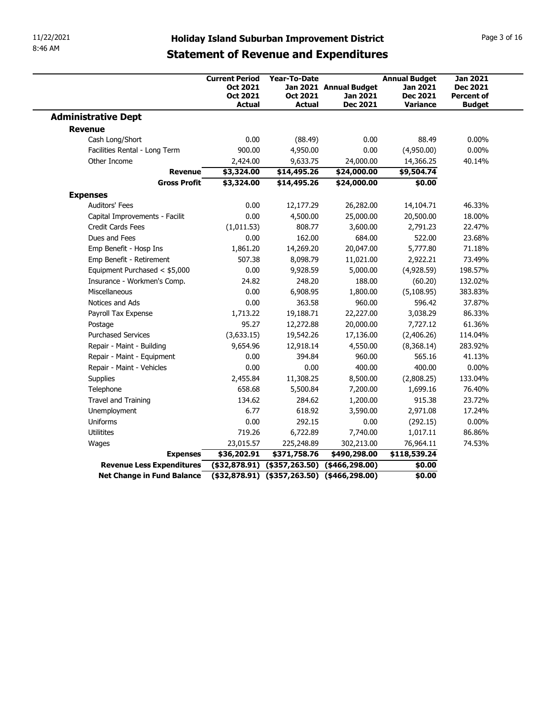| 11/22/2021                                          |                                                     |                                                      |                                    |                                                     |                                                         |
|-----------------------------------------------------|-----------------------------------------------------|------------------------------------------------------|------------------------------------|-----------------------------------------------------|---------------------------------------------------------|
|                                                     | <b>Holiday Island Suburban Improvement District</b> |                                                      |                                    |                                                     | Page 3 of 16                                            |
| 8:46 AM                                             | <b>Statement of Revenue and Expenditures</b>        |                                                      |                                    |                                                     |                                                         |
|                                                     | <b>Current Period</b><br>Oct 2021<br>Oct 2021       | Year-To-Date<br>Oct 2021                             | Jan 2021 Annual Budget<br>Jan 2021 | <b>Annual Budget</b><br>Jan 2021<br><b>Dec 2021</b> | <b>Jan 2021</b><br><b>Dec 2021</b><br><b>Percent of</b> |
| <b>Administrative Dept</b>                          | <b>Actual</b>                                       | <b>Actual</b>                                        | <b>Dec 2021</b>                    | <b>Variance</b>                                     | <b>Budget</b>                                           |
| <b>Revenue</b>                                      |                                                     |                                                      |                                    |                                                     |                                                         |
| Cash Long/Short                                     | 0.00                                                | (88.49)                                              | 0.00                               | 88.49                                               | $0.00\%$                                                |
| Facilities Rental - Long Term                       | 900.00                                              | 4,950.00                                             | 0.00                               | (4,950.00)                                          | $0.00\%$                                                |
| Other Income<br><b>Revenue</b>                      | 2,424.00<br>\$3,324.00                              | 9,633.75<br>\$14,495.26                              | 24,000.00<br>\$24,000.00           | 14,366.25<br>\$9,504.74                             | 40.14%                                                  |
| <b>Gross Profit</b>                                 | \$3,324.00                                          | \$14,495.26                                          | \$24,000.00                        | \$0.00                                              |                                                         |
| <b>Expenses</b>                                     |                                                     |                                                      |                                    |                                                     |                                                         |
| Auditors' Fees                                      | 0.00                                                | 12,177.29                                            | 26,282.00                          | 14,104.71                                           | 46.33%                                                  |
| Capital Improvements - Facilit<br>Credit Cards Fees | 0.00<br>(1,011.53)                                  | 4,500.00<br>808.77                                   | 25,000.00<br>3,600.00              | 20,500.00<br>2,791.23                               | 18.00%<br>22.47%                                        |
| Dues and Fees                                       | 0.00                                                | 162.00                                               | 684.00                             | 522.00                                              | 23.68%                                                  |
| Emp Benefit - Hosp Ins                              | 1,861.20                                            | 14,269.20                                            | 20,047.00                          | 5,777.80                                            | 71.18%                                                  |
| Emp Benefit - Retirement                            | 507.38                                              | 8,098.79                                             | 11,021.00                          | 2,922.21                                            | 73.49%                                                  |
| Equipment Purchased < \$5,000                       | 0.00                                                | 9,928.59                                             | 5,000.00                           | (4,928.59)                                          | 198.57%                                                 |
| Insurance - Workmen's Comp.                         | 24.82                                               | 248.20                                               | 188.00                             | (60.20)                                             | 132.02%                                                 |
| Miscellaneous                                       | 0.00                                                | 6,908.95                                             | 1,800.00                           | (5,108.95)                                          | 383.83%                                                 |
| Notices and Ads<br>Payroll Tax Expense              | 0.00<br>1,713.22                                    | 363.58<br>19,188.71                                  | 960.00<br>22,227.00                | 596.42<br>3,038.29                                  | 37.87%<br>86.33%                                        |
| Postage                                             | 95.27                                               | 12,272.88                                            | 20,000.00                          | 7,727.12                                            | 61.36%                                                  |
| <b>Purchased Services</b>                           | (3,633.15)                                          | 19,542.26                                            | 17,136.00                          | (2,406.26)                                          | 114.04%                                                 |
| Repair - Maint - Building                           | 9,654.96                                            | 12,918.14                                            | 4,550.00                           | (8,368.14)                                          | 283.92%                                                 |
| Repair - Maint - Equipment                          | 0.00                                                | 394.84                                               | 960.00                             | 565.16                                              | 41.13%                                                  |
| Repair - Maint - Vehicles                           | 0.00                                                | 0.00                                                 | 400.00                             | 400.00                                              | $0.00\%$                                                |
| Supplies                                            | 2,455.84<br>658.68                                  | 11,308.25                                            | 8,500.00<br>7,200.00               | (2,808.25)<br>1,699.16                              | 133.04%<br>76.40%                                       |
| Telephone<br>Travel and Training                    | 134.62                                              | 5,500.84<br>284.62                                   | 1,200.00                           | 915.38                                              | 23.72%                                                  |
| Unemployment                                        | 6.77                                                | 618.92                                               | 3,590.00                           | 2,971.08                                            | 17.24%                                                  |
| Uniforms                                            | 0.00                                                | 292.15                                               | 0.00                               | (292.15)                                            | $0.00\%$                                                |
|                                                     | 719.26                                              | 6,722.89                                             | 7,740.00                           | 1,017.11                                            | 86.86%                                                  |
| Utilitites                                          | 23,015.57                                           | 225,248.89                                           | 302,213.00                         | 76,964.11                                           | 74.53%                                                  |
| Wages                                               | \$36,202.91                                         | \$371,758.76                                         | \$490,298.00                       | \$118,539.24                                        |                                                         |
| <b>Expenses</b><br>Revenue Less Expenditures        |                                                     | $($ \$32,878.91) $($ \$357,263.50) $($ \$466,298.00) |                                    | \$0.00                                              |                                                         |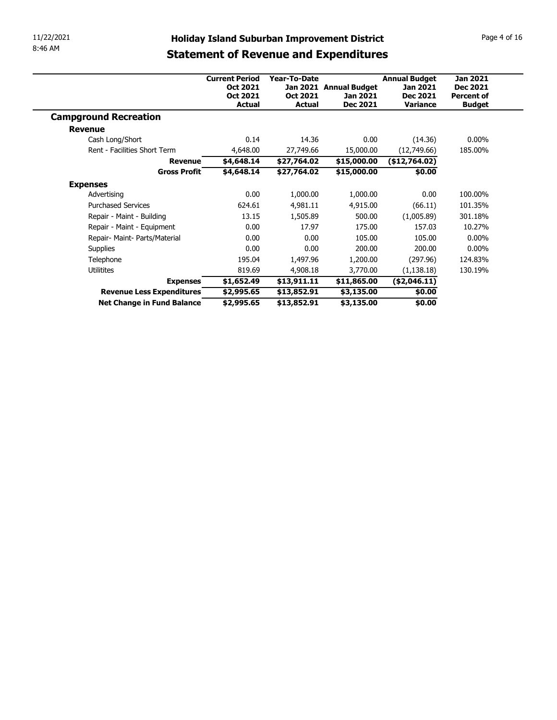| 11/22/2021                                                  | <b>Holiday Island Suburban Improvement District</b> |                           |                             |                                    | Page 4 of 16                       |
|-------------------------------------------------------------|-----------------------------------------------------|---------------------------|-----------------------------|------------------------------------|------------------------------------|
| 8:46 AM                                                     |                                                     |                           |                             |                                    |                                    |
|                                                             | <b>Statement of Revenue and Expenditures</b>        |                           |                             |                                    |                                    |
|                                                             | <b>Current Period</b>                               | Year-To-Date              |                             | <b>Annual Budget</b>               | <b>Jan 2021</b>                    |
|                                                             | Oct 2021                                            |                           | Jan 2021 Annual Budget      | Jan 2021                           | <b>Dec 2021</b>                    |
|                                                             | Oct 2021<br>Actual                                  | Oct 2021<br><b>Actual</b> | Jan 2021<br><b>Dec 2021</b> | <b>Dec 2021</b><br><b>Variance</b> | <b>Percent of</b><br><b>Budget</b> |
|                                                             |                                                     |                           |                             |                                    |                                    |
|                                                             |                                                     |                           |                             |                                    |                                    |
| <b>Campground Recreation</b>                                |                                                     |                           |                             |                                    |                                    |
| <b>Revenue</b>                                              |                                                     |                           |                             |                                    |                                    |
| Cash Long/Short                                             | 0.14                                                | 14.36                     | 0.00                        | (14.36)                            | $0.00\%$                           |
| Rent - Facilities Short Term                                | 4,648.00                                            | 27,749.66                 | 15,000.00                   | (12,749.66)                        | 185.00%                            |
| <b>Revenue</b>                                              | \$4,648.14                                          | \$27,764.02               | \$15,000.00                 | ( \$12,764.02)                     |                                    |
| <b>Gross Profit</b>                                         | \$4,648.14                                          | \$27,764.02               | \$15,000.00                 | \$0.00                             |                                    |
| <b>Expenses</b>                                             |                                                     |                           |                             |                                    |                                    |
| Advertising                                                 | 0.00                                                | 1,000.00                  | 1,000.00                    | 0.00                               | 100.00%                            |
| <b>Purchased Services</b>                                   | 624.61                                              | 4,981.11                  | 4,915.00                    | (66.11)                            | 101.35%                            |
| Repair - Maint - Building                                   | 13.15                                               | 1,505.89                  | 500.00                      | (1,005.89)                         | 301.18%                            |
| Repair - Maint - Equipment<br>Repair- Maint- Parts/Material | 0.00<br>0.00                                        | 17.97<br>0.00             | 175.00<br>105.00            | 157.03<br>105.00                   | 10.27%<br>$0.00\%$                 |
|                                                             | 0.00                                                | 0.00                      | 200.00                      | 200.00                             | $0.00\%$                           |
| Supplies<br>Telephone                                       | 195.04                                              |                           |                             |                                    | 124.83%                            |
| Utilitites                                                  | 819.69                                              | 1,497.96<br>4,908.18      | 1,200.00<br>3,770.00        | (297.96)<br>(1, 138.18)            | 130.19%                            |
| <b>Expenses</b>                                             | \$1,652.49                                          | \$13,911.11               | \$11,865.00                 | (\$2,046.11)                       |                                    |
| Revenue Less Expenditures                                   | \$2,995.65                                          | \$13,852.91               | \$3,135.00                  | \$0.00                             |                                    |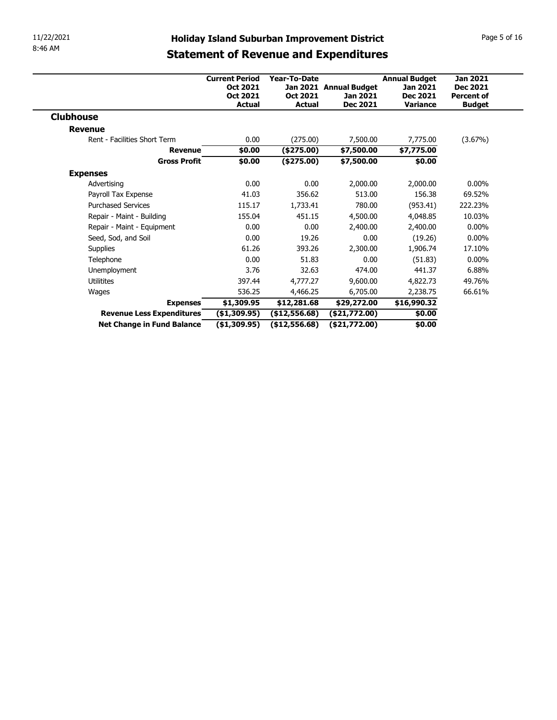| 11/22/2021                                   |                                   |                              | <b>Holiday Island Suburban Improvement District</b> |                                  | Page 5 of 16                       |
|----------------------------------------------|-----------------------------------|------------------------------|-----------------------------------------------------|----------------------------------|------------------------------------|
| 8:46 AM                                      |                                   |                              |                                                     |                                  |                                    |
|                                              |                                   |                              | <b>Statement of Revenue and Expenditures</b>        |                                  |                                    |
|                                              |                                   |                              |                                                     |                                  |                                    |
|                                              | <b>Current Period</b><br>Oct 2021 | Year-To-Date                 | Jan 2021 Annual Budget                              | <b>Annual Budget</b><br>Jan 2021 | <b>Jan 2021</b><br><b>Dec 2021</b> |
|                                              | Oct 2021                          | Oct 2021                     | Jan 2021                                            | <b>Dec 2021</b>                  | <b>Percent of</b>                  |
|                                              | Actual                            | <b>Actual</b>                | Dec 2021                                            | Variance                         | <b>Budget</b>                      |
|                                              |                                   |                              |                                                     |                                  |                                    |
|                                              |                                   |                              |                                                     |                                  |                                    |
| <b>Clubhouse</b><br><b>Revenue</b>           |                                   |                              |                                                     |                                  |                                    |
| Rent - Facilities Short Term                 | 0.00                              |                              | 7,500.00                                            |                                  |                                    |
| <b>Revenue</b>                               |                                   | (275.00)                     |                                                     | 7,775.00                         | (3.67%)                            |
| <b>Gross Profit</b>                          | \$0.00<br>\$0.00                  | $(*275.00)$<br>(\$275.00)    | \$7,500.00                                          | \$7,775.00                       |                                    |
|                                              |                                   |                              | \$7,500.00                                          | \$0.00                           |                                    |
| <b>Expenses</b>                              |                                   |                              |                                                     |                                  |                                    |
| Advertising                                  | 0.00                              | 0.00                         | 2,000.00                                            | 2,000.00                         | $0.00\%$                           |
| Payroll Tax Expense                          | 41.03                             | 356.62                       | 513.00                                              | 156.38                           | 69.52%                             |
| <b>Purchased Services</b>                    | 115.17                            | 1,733.41                     | 780.00                                              | (953.41)                         | 222.23%                            |
| Repair - Maint - Building                    | 155.04                            | 451.15                       | 4,500.00                                            | 4,048.85                         | 10.03%                             |
| Repair - Maint - Equipment                   | 0.00                              | 0.00                         | 2,400.00                                            | 2,400.00                         | $0.00\%$                           |
| Seed, Sod, and Soil                          | 0.00                              | 19.26                        | 0.00                                                | (19.26)                          | $0.00\%$                           |
| Supplies                                     | 61.26                             | 393.26                       | 2,300.00                                            | 1,906.74                         | 17.10%                             |
| Telephone                                    | 0.00                              | 51.83                        | 0.00                                                | (51.83)                          | $0.00\%$                           |
| Unemployment                                 | 3.76                              | 32.63                        | 474.00                                              | 441.37                           | 6.88%                              |
| Utilitites                                   | 397.44                            | 4,777.27                     | 9,600.00                                            | 4,822.73                         | 49.76%                             |
| Wages                                        | 536.25                            | 4,466.25                     | 6,705.00                                            | 2,238.75                         | 66.61%                             |
| <b>Expenses</b><br>Revenue Less Expenditures | \$1,309.95<br>(\$1,309.95)        | \$12,281.68<br>(\$12,556.68) | \$29,272.00<br>(\$21,772.00)                        | \$16,990.32<br>\$0.00            |                                    |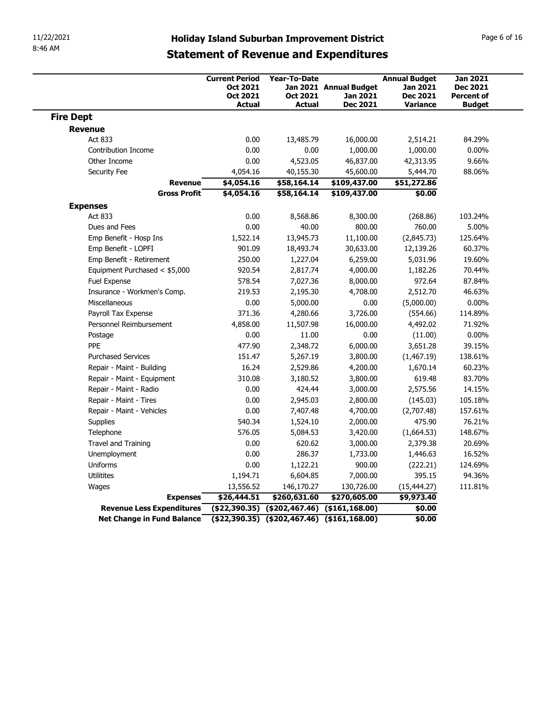| 11/22/2021                       |                               |                                                                |                                           |                                                                                                     |                                                                        |                                                                          |
|----------------------------------|-------------------------------|----------------------------------------------------------------|-------------------------------------------|-----------------------------------------------------------------------------------------------------|------------------------------------------------------------------------|--------------------------------------------------------------------------|
| 8:46 AM                          |                               |                                                                |                                           | <b>Holiday Island Suburban Improvement District</b><br><b>Statement of Revenue and Expenditures</b> |                                                                        | Page 6 of 16                                                             |
|                                  |                               | <b>Current Period</b><br>Oct 2021<br>Oct 2021<br><b>Actual</b> | Year-To-Date<br>Oct 2021<br><b>Actual</b> | Jan 2021 Annual Budget<br>Jan 2021<br><b>Dec 2021</b>                                               | <b>Annual Budget</b><br>Jan 2021<br><b>Dec 2021</b><br><b>Variance</b> | <b>Jan 2021</b><br><b>Dec 2021</b><br><b>Percent of</b><br><b>Budget</b> |
| <b>Fire Dept</b>                 |                               |                                                                |                                           |                                                                                                     |                                                                        |                                                                          |
| <b>Revenue</b>                   |                               |                                                                |                                           |                                                                                                     |                                                                        |                                                                          |
| Act 833                          |                               | 0.00                                                           | 13,485.79                                 | 16,000.00                                                                                           | 2,514.21                                                               | 84.29%                                                                   |
| Contribution Income              |                               | 0.00                                                           | 0.00                                      | 1,000.00                                                                                            | 1,000.00                                                               | $0.00\%$                                                                 |
| Other Income                     |                               | 0.00                                                           | 4,523.05                                  | 46,837.00                                                                                           | 42,313.95                                                              | 9.66%                                                                    |
| Security Fee                     | <b>Revenue</b>                | 4,054.16<br>\$4,054.16                                         | 40,155.30<br>\$58,164.14                  | 45,600.00<br>\$109,437.00                                                                           | 5,444.70<br>\$51,272.86                                                | 88.06%                                                                   |
|                                  | <b>Gross Profit</b>           | \$4,054.16                                                     | \$58,164.14                               | \$109,437.00                                                                                        | \$0.00                                                                 |                                                                          |
| <b>Expenses</b>                  |                               |                                                                |                                           |                                                                                                     |                                                                        |                                                                          |
| Act 833                          |                               | 0.00                                                           | 8,568.86                                  | 8,300.00                                                                                            | (268.86)                                                               | 103.24%                                                                  |
| Dues and Fees                    |                               | 0.00                                                           | 40.00                                     | 800.00                                                                                              | 760.00                                                                 | 5.00%                                                                    |
|                                  | Emp Benefit - Hosp Ins        | 1,522.14                                                       | 13,945.73                                 | 11,100.00                                                                                           | (2,845.73)                                                             | 125.64%                                                                  |
| Emp Benefit - LOPFI              |                               | 901.09                                                         | 18,493.74                                 | 30,633.00                                                                                           | 12,139.26                                                              | 60.37%                                                                   |
|                                  | Emp Benefit - Retirement      | 250.00                                                         | 1,227.04                                  | 6,259.00                                                                                            | 5,031.96                                                               | 19.60%                                                                   |
|                                  | Equipment Purchased < \$5,000 | 920.54                                                         | 2,817.74                                  | 4,000.00                                                                                            | 1,182.26                                                               | 70.44%                                                                   |
| Fuel Expense                     |                               | 578.54                                                         | 7,027.36                                  | 8,000.00                                                                                            | 972.64                                                                 | 87.84%                                                                   |
|                                  | Insurance - Workmen's Comp.   | 219.53                                                         | 2,195.30                                  | 4,708.00                                                                                            | 2,512.70                                                               | 46.63%                                                                   |
| Miscellaneous                    |                               | 0.00                                                           | 5,000.00                                  | 0.00                                                                                                | (5,000.00)                                                             | $0.00\%$                                                                 |
| Payroll Tax Expense              |                               | 371.36                                                         | 4,280.66                                  | 3,726.00                                                                                            | (554.66)                                                               | 114.89%                                                                  |
|                                  | Personnel Reimbursement       | 4,858.00                                                       | 11,507.98                                 | 16,000.00                                                                                           | 4,492.02                                                               | 71.92%                                                                   |
| Postage                          |                               | 0.00                                                           | 11.00                                     | 0.00                                                                                                | (11.00)                                                                | $0.00\%$                                                                 |
| PPE<br><b>Purchased Services</b> |                               | 477.90<br>151.47                                               | 2,348.72<br>5,267.19                      | 6,000.00<br>3,800.00                                                                                | 3,651.28<br>(1,467.19)                                                 | 39.15%<br>138.61%                                                        |
|                                  | Repair - Maint - Building     | 16.24                                                          | 2,529.86                                  | 4,200.00                                                                                            | 1,670.14                                                               | 60.23%                                                                   |
|                                  | Repair - Maint - Equipment    | 310.08                                                         | 3,180.52                                  | 3,800.00                                                                                            | 619.48                                                                 | 83.70%                                                                   |
| Repair - Maint - Radio           |                               | 0.00                                                           | 424.44                                    | 3,000.00                                                                                            | 2,575.56                                                               | 14.15%                                                                   |
| Repair - Maint - Tires           |                               | 0.00                                                           | 2,945.03                                  | 2,800.00                                                                                            | (145.03)                                                               | 105.18%                                                                  |
|                                  | Repair - Maint - Vehicles     | 0.00                                                           | 7,407.48                                  | 4,700.00                                                                                            | (2,707.48)                                                             | 157.61%                                                                  |
| Supplies                         |                               | 540.34                                                         | 1,524.10                                  | 2,000.00                                                                                            | 475.90                                                                 | 76.21%                                                                   |
| Telephone                        |                               | 576.05                                                         | 5,084.53                                  | 3,420.00                                                                                            | (1,664.53)                                                             | 148.67%                                                                  |
| Travel and Training              |                               | 0.00                                                           | 620.62                                    | 3,000.00                                                                                            | 2,379.38                                                               | 20.69%                                                                   |
| Unemployment                     |                               | 0.00                                                           | 286.37                                    | 1,733.00                                                                                            | 1,446.63                                                               | 16.52%                                                                   |
| Uniforms                         |                               | 0.00                                                           | 1,122.21                                  | 900.00                                                                                              | (222.21)                                                               | 124.69%                                                                  |
| Utilitites                       |                               | 1,194.71                                                       | 6,604.85                                  | 7,000.00                                                                                            | 395.15                                                                 | 94.36%                                                                   |
| Wages                            |                               | 13,556.52                                                      | 146,170.27                                | 130,726.00                                                                                          | (15, 444.27)                                                           | 111.81%                                                                  |
|                                  | <b>Expenses</b>               | \$26,444.51                                                    | \$260,631.60                              | \$270,605.00                                                                                        | \$9,973.40                                                             |                                                                          |
|                                  | Revenue Less Expenditures     | $($ \$22,390.35) $($ \$202,467.46) $($ \$161,168.00)           |                                           |                                                                                                     |                                                                        |                                                                          |
|                                  |                               |                                                                |                                           |                                                                                                     | \$0.00                                                                 |                                                                          |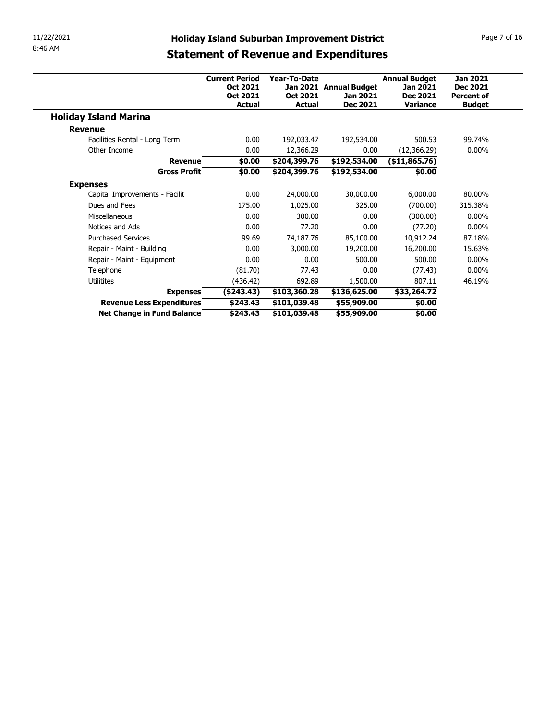| 11/22/2021                                              | <b>Holiday Island Suburban Improvement District</b> |                              |                            |                      | Page 7 of 16      |  |
|---------------------------------------------------------|-----------------------------------------------------|------------------------------|----------------------------|----------------------|-------------------|--|
| 8:46 AM                                                 | <b>Statement of Revenue and Expenditures</b>        |                              |                            |                      |                   |  |
|                                                         |                                                     |                              |                            |                      |                   |  |
|                                                         | <b>Current Period</b>                               | Year-To-Date                 |                            | <b>Annual Budget</b> | <b>Jan 2021</b>   |  |
|                                                         | Oct 2021                                            |                              | Jan 2021 Annual Budget     | Jan 2021             | <b>Dec 2021</b>   |  |
|                                                         | Oct 2021                                            | Oct 2021                     | Jan 2021                   | <b>Dec 2021</b>      | <b>Percent of</b> |  |
|                                                         | Actual                                              | <b>Actual</b>                | <b>Dec 2021</b>            | <b>Variance</b>      | <b>Budget</b>     |  |
| <b>Holiday Island Marina</b>                            |                                                     |                              |                            |                      |                   |  |
| <b>Revenue</b>                                          |                                                     |                              |                            |                      |                   |  |
|                                                         |                                                     | 192,033.47                   | 192,534.00                 | 500.53               | 99.74%            |  |
| Facilities Rental - Long Term                           | 0.00                                                |                              |                            |                      |                   |  |
| Other Income                                            | 0.00                                                | 12,366.29                    | 0.00                       | (12, 366.29)         | $0.00\%$          |  |
| <b>Revenue</b>                                          | \$0.00                                              | \$204,399.76                 | \$192,534.00               | ( \$11,865.76)       |                   |  |
| <b>Gross Profit</b>                                     | \$0.00                                              | \$204,399.76                 | \$192,534.00               | \$0.00               |                   |  |
| <b>Expenses</b>                                         |                                                     |                              |                            |                      |                   |  |
| Capital Improvements - Facilit                          | 0.00                                                | 24,000.00                    | 30,000.00                  | 6,000.00             | 80.00%            |  |
| Dues and Fees                                           | 175.00                                              | 1,025.00                     | 325.00                     | (700.00)             | 315.38%           |  |
| Miscellaneous                                           | 0.00                                                | 300.00                       | 0.00                       | (300.00)             | $0.00\%$          |  |
| Notices and Ads                                         | 0.00                                                | 77.20                        | 0.00                       | (77.20)              | $0.00\%$          |  |
| <b>Purchased Services</b>                               | 99.69                                               | 74,187.76                    | 85,100.00                  | 10,912.24            | 87.18%            |  |
| Repair - Maint - Building                               | 0.00                                                | 3,000.00                     | 19,200.00                  | 16,200.00            | 15.63%            |  |
| Repair - Maint - Equipment                              | 0.00                                                | 0.00                         | 500.00                     | 500.00               | $0.00\%$          |  |
| Telephone                                               | (81.70)                                             | 77.43                        | 0.00                       | (77.43)              | $0.00\%$          |  |
| Utilitites                                              | (436.42)                                            | 692.89                       | 1,500.00                   | 807.11               | 46.19%            |  |
| <b>Expenses</b>                                         | (\$243.43)                                          | \$103,360.28                 | \$136,625.00               | \$33,264.72          |                   |  |
| Revenue Less Expenditures<br>Net Change in Fund Balance | \$243.43<br>\$243.43                                | \$101,039.48<br>\$101,039.48 | \$55,909.00<br>\$55,909.00 | \$0.00<br>\$0.00     |                   |  |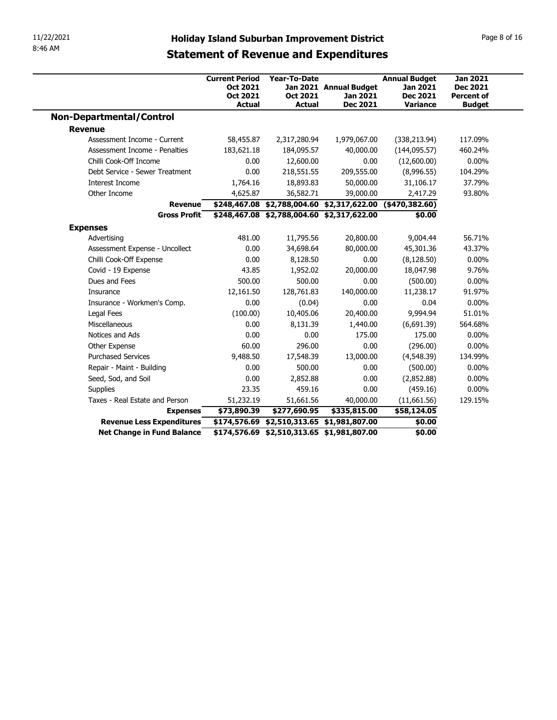|                                                         | <b>Holiday Island Suburban Improvement District</b> |                     |                                                                                          |                             |                                      |
|---------------------------------------------------------|-----------------------------------------------------|---------------------|------------------------------------------------------------------------------------------|-----------------------------|--------------------------------------|
|                                                         |                                                     |                     |                                                                                          |                             |                                      |
|                                                         |                                                     |                     |                                                                                          |                             |                                      |
|                                                         |                                                     |                     |                                                                                          |                             |                                      |
|                                                         |                                                     |                     |                                                                                          |                             |                                      |
|                                                         |                                                     |                     |                                                                                          |                             |                                      |
|                                                         |                                                     |                     |                                                                                          |                             |                                      |
|                                                         |                                                     |                     |                                                                                          |                             |                                      |
|                                                         |                                                     |                     |                                                                                          |                             |                                      |
|                                                         |                                                     |                     |                                                                                          |                             |                                      |
|                                                         |                                                     |                     |                                                                                          |                             |                                      |
|                                                         |                                                     |                     |                                                                                          |                             |                                      |
| 11/22/2021<br>8:46 AM                                   |                                                     |                     |                                                                                          |                             |                                      |
|                                                         |                                                     |                     |                                                                                          |                             |                                      |
|                                                         |                                                     |                     |                                                                                          |                             | Page 8 of 16                         |
|                                                         |                                                     |                     | <b>Statement of Revenue and Expenditures</b>                                             |                             |                                      |
|                                                         |                                                     |                     |                                                                                          |                             |                                      |
|                                                         | <b>Current Period</b>                               | <b>Year-To-Date</b> |                                                                                          | <b>Annual Budget</b>        | <b>Jan 2021</b>                      |
|                                                         | <b>Oct 2021</b><br>Oct 2021                         | Oct 2021            | Jan 2021 Annual Budget<br>Jan 2021                                                       | Jan 2021<br><b>Dec 2021</b> | <b>Dec 2021</b><br><b>Percent of</b> |
|                                                         | <b>Actual</b>                                       | <b>Actual</b>       | <b>Dec 2021</b>                                                                          | <b>Variance</b>             | <b>Budget</b>                        |
| <b>Non-Departmental/Control</b>                         |                                                     |                     |                                                                                          |                             |                                      |
| <b>Revenue</b>                                          |                                                     |                     |                                                                                          |                             |                                      |
| Assessment Income - Current                             | 58,455.87                                           | 2,317,280.94        | 1,979,067.00                                                                             | (338, 213.94)               | 117.09%                              |
| Assessment Income - Penalties                           | 183,621.18                                          | 184,095.57          | 40,000.00                                                                                | (144, 095.57)               | 460.24%                              |
| Chilli Cook-Off Income                                  | 0.00                                                | 12,600.00           | 0.00                                                                                     | (12,600.00)                 | $0.00\%$                             |
| Debt Service - Sewer Treatment                          | 0.00                                                | 218,551.55          | 209,555.00                                                                               | (8,996.55)                  | 104.29%                              |
| Interest Income                                         | 1,764.16                                            | 18,893.83           | 50,000.00                                                                                | 31,106.17                   | 37.79%                               |
| Other Income                                            | 4,625.87                                            | 36,582.71           | 39,000.00                                                                                | 2,417.29                    | 93.80%                               |
| Revenue                                                 |                                                     |                     | \$248,467.08 \$2,788,004.60 \$2,317,622.00 (\$470,382.60)                                |                             |                                      |
| <b>Gross Profit</b>                                     |                                                     |                     | \$248,467.08 \$2,788,004.60 \$2,317,622.00                                               | \$0.00                      |                                      |
| <b>Expenses</b>                                         |                                                     |                     |                                                                                          |                             |                                      |
| Advertising                                             | 481.00                                              | 11,795.56           | 20,800.00                                                                                | 9,004.44                    | 56.71%                               |
| Assessment Expense - Uncollect                          | 0.00                                                | 34,698.64           | 80,000.00                                                                                | 45,301.36                   | 43.37%                               |
| Chilli Cook-Off Expense                                 | 0.00                                                | 8,128.50            | 0.00                                                                                     | (8, 128.50)                 | $0.00\%$                             |
| Covid - 19 Expense                                      | 43.85                                               | 1,952.02            | 20,000.00                                                                                | 18,047.98                   | 9.76%                                |
| Dues and Fees                                           | 500.00                                              | 500.00              | 0.00                                                                                     | (500.00)                    | $0.00\%$                             |
| Insurance                                               | 12,161.50                                           | 128,761.83          | 140,000.00                                                                               | 11,238.17                   | 91.97%                               |
| Insurance - Workmen's Comp.                             | 0.00                                                | (0.04)              | 0.00                                                                                     | 0.04                        | $0.00\%$                             |
| Legal Fees                                              | (100.00)                                            | 10,405.06           | 20,400.00                                                                                | 9,994.94                    | 51.01%                               |
| Miscellaneous                                           | 0.00                                                | 8,131.39            | 1,440.00                                                                                 | (6,691.39)                  | 564.68%                              |
|                                                         | 0.00                                                | 0.00                | 175.00                                                                                   | 175.00                      | $0.00\%$                             |
| Notices and Ads                                         | 60.00                                               | 296.00              | 0.00                                                                                     | (296.00)                    | $0.00\%$                             |
| Other Expense                                           | 9,488.50                                            | 17,548.39           | 13,000.00                                                                                | (4,548.39)                  | 134.99%                              |
| <b>Purchased Services</b>                               |                                                     | 500.00<br>2,852.88  | 0.00                                                                                     | (500.00)                    | $0.00\%$                             |
| Repair - Maint - Building                               | 0.00                                                |                     | 0.00                                                                                     | (2,852.88)                  | $0.00\%$                             |
| Seed, Sod, and Soil                                     | 0.00                                                |                     | 0.00                                                                                     | (459.16)                    | $0.00\%$                             |
| Supplies                                                | 23.35                                               | 459.16              |                                                                                          |                             |                                      |
| Taxes - Real Estate and Person                          | 51,232.19                                           | 51,661.56           | 40,000.00                                                                                | (11,661.56)                 | 129.15%                              |
| <b>Expenses</b>                                         | \$73,890.39                                         | \$277,690.95        | \$335,815.00                                                                             | \$58,124.05                 |                                      |
| Revenue Less Expenditures<br>Net Change in Fund Balance |                                                     |                     | \$174,576.69 \$2,510,313.65 \$1,981,807.00<br>\$174,576.69 \$2,510,313.65 \$1,981,807.00 | \$0.00<br>\$0.00            |                                      |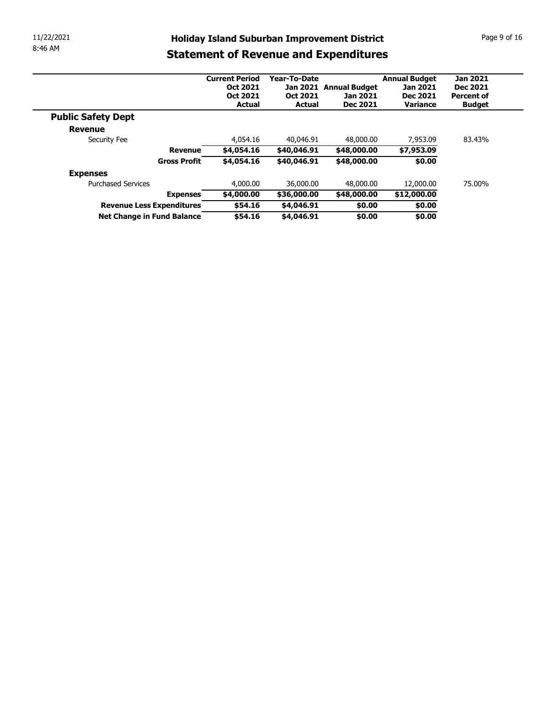| 11/22/2021 |                           |                             |               |                                                     |                             | Page 9 of 16                  |
|------------|---------------------------|-----------------------------|---------------|-----------------------------------------------------|-----------------------------|-------------------------------|
| 8:46 AM    |                           |                             |               | <b>Holiday Island Suburban Improvement District</b> |                             |                               |
|            |                           |                             |               | <b>Statement of Revenue and Expenditures</b>        |                             |                               |
|            |                           |                             |               |                                                     |                             |                               |
|            |                           | <b>Current Period</b>       | Year-To-Date  |                                                     | <b>Annual Budget</b>        | <b>Jan 2021</b>               |
|            |                           | Oct 2021<br><b>Oct 2021</b> | Oct 2021      | Jan 2021 Annual Budget<br>Jan 2021                  | Jan 2021<br><b>Dec 2021</b> | Dec 2021<br><b>Percent of</b> |
|            |                           | <b>Actual</b>               | <b>Actual</b> | <b>Dec 2021</b>                                     | Variance                    | <b>Budget</b>                 |
|            | <b>Public Safety Dept</b> |                             |               |                                                     |                             |                               |
|            | <b>Revenue</b>            |                             |               |                                                     |                             |                               |
|            | Security Fee              | 4,054.16                    | 40,046.91     | 48,000.00                                           | 7,953.09                    | 83.43%                        |
|            | <b>Revenue</b>            | \$4,054.16                  | \$40,046.91   | \$48,000.00                                         | \$7,953.09                  |                               |
|            | <b>Gross Profit</b>       | \$4,054.16                  | \$40,046.91   | \$48,000.00                                         | \$0.00                      |                               |
|            | <b>Expenses</b>           |                             |               |                                                     |                             |                               |
|            | <b>Purchased Services</b> | 4,000.00                    | 36,000.00     | 48,000.00                                           | 12,000.00                   | 75.00%                        |
|            | <b>Expenses</b>           | \$4,000.00                  | \$36,000.00   | \$48,000.00                                         | \$12,000.00                 |                               |
|            | Revenue Less Expenditures | \$54.16                     | \$4,046.91    | \$0.00                                              | \$0.00                      |                               |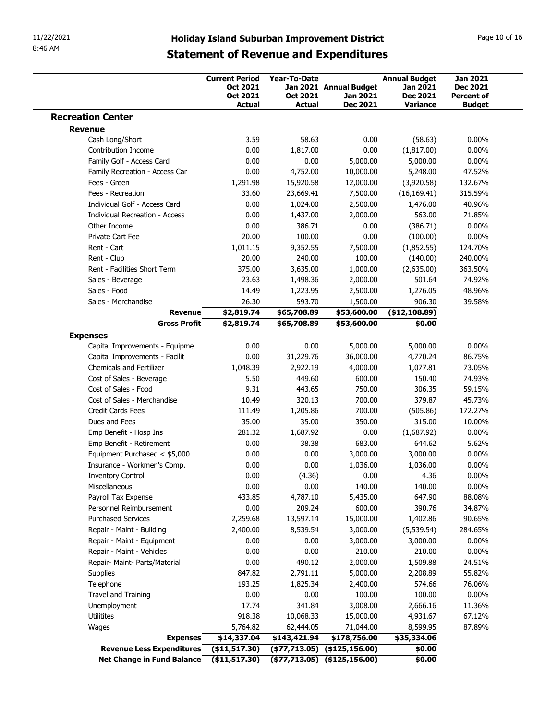| 11/22/2021<br>8:46 AM                                             |                       | <b>Holiday Island Suburban Improvement District</b> |                                              |                             | Page 10 of 16                        |
|-------------------------------------------------------------------|-----------------------|-----------------------------------------------------|----------------------------------------------|-----------------------------|--------------------------------------|
|                                                                   |                       |                                                     | <b>Statement of Revenue and Expenditures</b> |                             |                                      |
|                                                                   | <b>Current Period</b> | <b>Year-To-Date</b>                                 |                                              | <b>Annual Budget</b>        | <b>Jan 2021</b>                      |
|                                                                   | Oct 2021<br>Oct 2021  | Oct 2021                                            | Jan 2021 Annual Budget<br>Jan 2021           | Jan 2021<br><b>Dec 2021</b> | <b>Dec 2021</b><br><b>Percent of</b> |
| <b>Recreation Center</b>                                          | <b>Actual</b>         | <b>Actual</b>                                       | Dec 2021                                     | Variance                    | <b>Budget</b>                        |
| <b>Revenue</b>                                                    |                       |                                                     |                                              |                             |                                      |
| Cash Long/Short<br>Contribution Income                            | 3.59<br>0.00          | 58.63<br>1,817.00                                   | 0.00<br>0.00                                 | (58.63)<br>(1,817.00)       | $0.00\%$<br>$0.00\%$                 |
| Family Golf - Access Card                                         | 0.00                  | 0.00                                                | 5,000.00                                     | 5,000.00                    | $0.00\%$                             |
| Family Recreation - Access Car                                    | 0.00                  | 4,752.00                                            | 10,000.00                                    | 5,248.00                    | 47.52%                               |
| Fees - Green                                                      | 1,291.98              | 15,920.58                                           | 12,000.00                                    | (3,920.58)                  | 132.67%                              |
| Fees - Recreation<br>Individual Golf - Access Card                | 33.60<br>0.00         | 23,669.41<br>1,024.00                               | 7,500.00<br>2,500.00                         | (16, 169.41)<br>1,476.00    | 315.59%<br>40.96%                    |
| <b>Individual Recreation - Access</b>                             | 0.00                  | 1,437.00                                            | 2,000.00                                     | 563.00                      | 71.85%                               |
| Other Income                                                      | 0.00                  | 386.71                                              | 0.00                                         | (386.71)                    | $0.00\%$                             |
| Private Cart Fee                                                  | 20.00                 | 100.00                                              | 0.00                                         | (100.00)                    | $0.00\%$                             |
| Rent - Cart<br>Rent - Club                                        | 1,011.15<br>20.00     | 9,352.55<br>240.00                                  | 7,500.00<br>100.00                           | (1,852.55)<br>(140.00)      | 124.70%<br>240.00%                   |
| Rent - Facilities Short Term                                      | 375.00                | 3,635.00                                            | 1,000.00                                     | (2,635.00)                  | 363.50%                              |
| Sales - Beverage                                                  | 23.63                 | 1,498.36                                            | 2,000.00                                     | 501.64                      | 74.92%                               |
| Sales - Food                                                      | 14.49                 | 1,223.95                                            | 2,500.00                                     | 1,276.05                    | 48.96%                               |
| Sales - Merchandise<br><b>Revenue</b>                             | 26.30<br>\$2,819.74   | 593.70<br>\$65,708.89                               | 1,500.00<br>\$53,600.00                      | 906.30<br>( \$12,108.89)    | 39.58%                               |
| <b>Gross Profit</b>                                               | \$2,819.74            | \$65,708.89                                         | \$53,600.00                                  | \$0.00                      |                                      |
| <b>Expenses</b>                                                   |                       |                                                     |                                              |                             |                                      |
| Capital Improvements - Equipme                                    | 0.00                  | 0.00                                                | 5,000.00                                     | 5,000.00                    | $0.00\%$                             |
| Capital Improvements - Facilit<br><b>Chemicals and Fertilizer</b> | 0.00<br>1,048.39      | 31,229.76<br>2,922.19                               | 36,000.00<br>4,000.00                        | 4,770.24<br>1,077.81        | 86.75%<br>73.05%                     |
| Cost of Sales - Beverage                                          | 5.50                  | 449.60                                              | 600.00                                       | 150.40                      | 74.93%                               |
| Cost of Sales - Food                                              | 9.31                  | 443.65                                              | 750.00                                       | 306.35                      | 59.15%                               |
| Cost of Sales - Merchandise                                       | 10.49                 | 320.13                                              | 700.00                                       | 379.87                      | 45.73%                               |
| Credit Cards Fees<br>Dues and Fees                                | 111.49<br>35.00       | 1,205.86<br>35.00                                   | 700.00<br>350.00                             | (505.86)<br>315.00          | 172.27%<br>10.00%                    |
| Emp Benefit - Hosp Ins                                            | 281.32                | 1,687.92                                            | 0.00                                         | (1,687.92)                  | $0.00\%$                             |
| Emp Benefit - Retirement                                          | 0.00                  | 38.38                                               | 683.00                                       | 644.62                      | 5.62%                                |
| Equipment Purchased < \$5,000                                     | 0.00                  | 0.00                                                | 3,000.00                                     | 3,000.00                    | $0.00\%$                             |
| Insurance - Workmen's Comp.<br><b>Inventory Control</b>           | 0.00<br>0.00          | 0.00<br>(4.36)                                      | 1,036.00<br>0.00                             | 1,036.00<br>4.36            | $0.00\%$<br>$0.00\%$                 |
|                                                                   | 0.00                  | 0.00                                                | 140.00                                       | 140.00                      | $0.00\%$                             |
|                                                                   | 433.85                | 4,787.10                                            | 5,435.00                                     | 647.90                      | 88.08%                               |
| Miscellaneous<br>Payroll Tax Expense                              |                       | 209.24                                              | 600.00                                       | 390.76                      | 34.87%                               |
| Personnel Reimbursement                                           | 0.00                  |                                                     |                                              | 1,402.86                    | 90.65%                               |
| <b>Purchased Services</b>                                         | 2,259.68              | 13,597.14                                           | 15,000.00                                    |                             |                                      |
| Repair - Maint - Building                                         | 2,400.00              | 8,539.54                                            | 3,000.00                                     | (5, 539.54)                 | 284.65%                              |
| Repair - Maint - Equipment<br>Repair - Maint - Vehicles           | 0.00                  | 0.00                                                | 3,000.00                                     | 3,000.00                    | $0.00\%$                             |
| Repair- Maint- Parts/Material                                     | 0.00<br>0.00          | 0.00<br>490.12                                      | 210.00<br>2,000.00                           | 210.00<br>1,509.88          | $0.00\%$<br>24.51%                   |
| Supplies                                                          | 847.82                | 2,791.11                                            | 5,000.00                                     | 2,208.89                    | 55.82%                               |
| Telephone                                                         | 193.25                | 1,825.34                                            | 2,400.00                                     | 574.66                      | 76.06%                               |
| Travel and Training                                               | 0.00                  | 0.00                                                | 100.00                                       | 100.00                      | $0.00\%$                             |
| Unemployment                                                      | 17.74                 | 341.84                                              | 3,008.00                                     | 2,666.16                    | 11.36%                               |
| Utilitites                                                        | 918.38<br>5,764.82    | 10,068.33<br>62,444.05                              | 15,000.00<br>71,044.00                       | 4,931.67<br>8,599.95        | 67.12%<br>87.89%                     |
| Wages<br><b>Expenses</b>                                          | \$14,337.04           | \$143,421.94                                        | \$178,756.00                                 | \$35,334.06                 |                                      |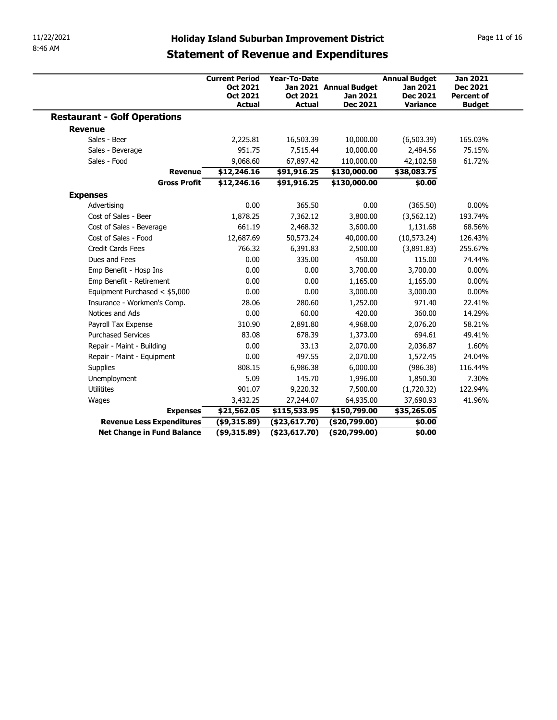| 11/22/2021<br>8:46 AM                               |                                                                |                                           |                                                                                                     |                                                                 |                                                         |
|-----------------------------------------------------|----------------------------------------------------------------|-------------------------------------------|-----------------------------------------------------------------------------------------------------|-----------------------------------------------------------------|---------------------------------------------------------|
|                                                     |                                                                |                                           | <b>Holiday Island Suburban Improvement District</b><br><b>Statement of Revenue and Expenditures</b> |                                                                 | Page 11 of 16                                           |
|                                                     | <b>Current Period</b><br>Oct 2021<br>Oct 2021<br><b>Actual</b> | Year-To-Date<br>Oct 2021<br><b>Actual</b> | Jan 2021 Annual Budget<br>Jan 2021<br>Dec 2021                                                      | <b>Annual Budget</b><br>Jan 2021<br><b>Dec 2021</b><br>Variance | <b>Jan 2021</b><br><b>Dec 2021</b><br><b>Percent of</b> |
| <b>Restaurant - Golf Operations</b>                 |                                                                |                                           |                                                                                                     |                                                                 | <b>Budget</b>                                           |
| <b>Revenue</b>                                      |                                                                |                                           |                                                                                                     |                                                                 |                                                         |
| Sales - Beer                                        | 2,225.81                                                       | 16,503.39                                 | 10,000.00                                                                                           | (6, 503.39)                                                     | 165.03%                                                 |
| Sales - Beverage                                    | 951.75                                                         | 7,515.44                                  | 10,000.00                                                                                           | 2,484.56                                                        | 75.15%                                                  |
| Sales - Food                                        | 9,068.60                                                       | 67,897.42                                 | 110,000.00                                                                                          | 42,102.58                                                       | 61.72%                                                  |
| <b>Revenue</b>                                      | \$12,246.16                                                    | \$91,916.25                               | \$130,000.00                                                                                        | \$38,083.75                                                     |                                                         |
| <b>Gross Profit</b>                                 | \$12,246.16                                                    | \$91,916.25                               | \$130,000.00                                                                                        | \$0.00                                                          |                                                         |
| <b>Expenses</b>                                     |                                                                |                                           |                                                                                                     |                                                                 |                                                         |
| Advertising                                         | 0.00                                                           | 365.50                                    | $0.00\,$                                                                                            | (365.50)                                                        | $0.00\%$                                                |
| Cost of Sales - Beer                                | 1,878.25                                                       | 7,362.12                                  | 3,800.00                                                                                            | (3, 562.12)                                                     | 193.74%                                                 |
| Cost of Sales - Beverage                            | 661.19                                                         | 2,468.32                                  | 3,600.00                                                                                            | 1,131.68                                                        | 68.56%                                                  |
| Cost of Sales - Food                                | 12,687.69                                                      | 50,573.24                                 | 40,000.00                                                                                           | (10, 573.24)                                                    | 126.43%                                                 |
| Credit Cards Fees                                   | 766.32                                                         | 6,391.83                                  | 2,500.00                                                                                            | (3,891.83)                                                      | 255.67%                                                 |
| Dues and Fees                                       | 0.00                                                           | 335.00                                    | 450.00                                                                                              | 115.00                                                          | 74.44%                                                  |
| Emp Benefit - Hosp Ins                              | 0.00                                                           | 0.00                                      | 3,700.00                                                                                            | 3,700.00                                                        | $0.00\%$                                                |
| Emp Benefit - Retirement                            | 0.00                                                           | 0.00                                      | 1,165.00                                                                                            | 1,165.00                                                        | $0.00\%$                                                |
| Equipment Purchased < \$5,000                       | 0.00                                                           | 0.00                                      | 3,000.00                                                                                            | 3,000.00                                                        | $0.00\%$                                                |
| Insurance - Workmen's Comp.                         | 28.06                                                          | 280.60                                    | 1,252.00                                                                                            | 971.40                                                          | 22.41%                                                  |
| Notices and Ads                                     | 0.00                                                           | 60.00                                     | 420.00                                                                                              | 360.00                                                          | 14.29%                                                  |
| Payroll Tax Expense                                 | 310.90                                                         | 2,891.80                                  | 4,968.00                                                                                            | 2,076.20                                                        | 58.21%                                                  |
| <b>Purchased Services</b>                           | 83.08                                                          | 678.39                                    | 1,373.00                                                                                            | 694.61                                                          | 49.41%                                                  |
| Repair - Maint - Building                           | 0.00                                                           | 33.13                                     | 2,070.00                                                                                            | 2,036.87                                                        | 1.60%                                                   |
| Repair - Maint - Equipment                          | 0.00                                                           | 497.55                                    | 2,070.00                                                                                            | 1,572.45                                                        | 24.04%                                                  |
| Supplies                                            | 808.15                                                         | 6,986.38                                  | 6,000.00                                                                                            | (986.38)                                                        | 116.44%                                                 |
|                                                     | 5.09                                                           | 145.70                                    | 1,996.00                                                                                            | 1,850.30                                                        | 7.30%                                                   |
| Unemployment                                        | 901.07                                                         | 9,220.32                                  | 7,500.00                                                                                            | (1,720.32)                                                      | 122.94%                                                 |
| Utilitites                                          |                                                                | 27,244.07                                 | 64,935.00                                                                                           | 37,690.93                                                       | 41.96%                                                  |
|                                                     | 3,432.25                                                       | \$115,533.95                              | \$150,799.00                                                                                        | \$35,265.05                                                     |                                                         |
| Wages                                               |                                                                |                                           |                                                                                                     |                                                                 |                                                         |
| <b>Expenses</b><br><b>Revenue Less Expenditures</b> | \$21,562.05<br>(\$9,315.89)                                    | (\$23,617.70)                             | (\$20,799.00)                                                                                       | \$0.00                                                          |                                                         |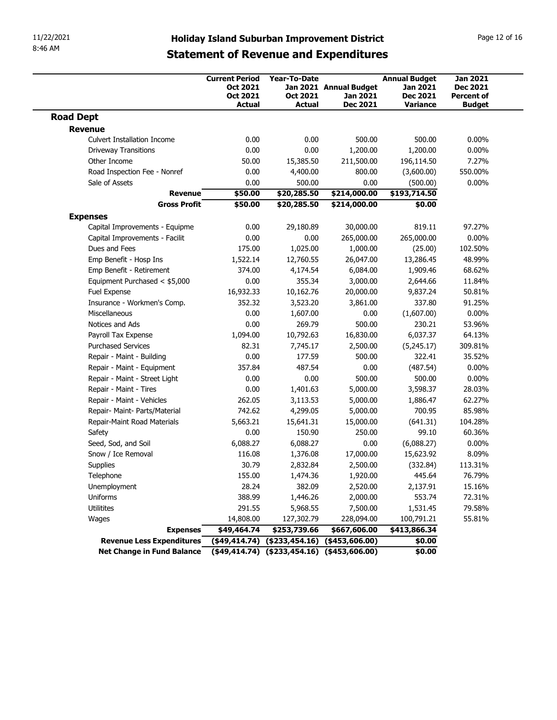| 11/22/2021                                       |                                                                |                                                                      | <b>Holiday Island Suburban Improvement District</b> |                                                                 | Page 12 of 16                                                            |
|--------------------------------------------------|----------------------------------------------------------------|----------------------------------------------------------------------|-----------------------------------------------------|-----------------------------------------------------------------|--------------------------------------------------------------------------|
| 8:46 AM                                          |                                                                |                                                                      | <b>Statement of Revenue and Expenditures</b>        |                                                                 |                                                                          |
|                                                  | <b>Current Period</b><br>Oct 2021<br>Oct 2021<br><b>Actual</b> | <b>Year-To-Date</b><br>Oct 2021<br>Actual                            | Jan 2021 Annual Budget<br>Jan 2021<br>Dec 2021      | <b>Annual Budget</b><br>Jan 2021<br><b>Dec 2021</b><br>Variance | <b>Jan 2021</b><br><b>Dec 2021</b><br><b>Percent of</b><br><b>Budget</b> |
| <b>Road Dept</b>                                 |                                                                |                                                                      |                                                     |                                                                 |                                                                          |
| Revenue                                          |                                                                |                                                                      |                                                     |                                                                 |                                                                          |
| <b>Culvert Installation Income</b>               | 0.00                                                           | 0.00                                                                 | 500.00                                              | 500.00                                                          | $0.00\%$                                                                 |
| <b>Driveway Transitions</b><br>Other Income      | 0.00<br>50.00                                                  | 0.00                                                                 | 1,200.00<br>211,500.00                              | 1,200.00                                                        | $0.00\%$<br>7.27%                                                        |
| Road Inspection Fee - Nonref                     | 0.00                                                           | 15,385.50<br>4,400.00                                                | 800.00                                              | 196,114.50<br>(3,600.00)                                        | 550.00%                                                                  |
| Sale of Assets                                   | 0.00                                                           | 500.00                                                               | 0.00                                                | (500.00)                                                        | $0.00\%$                                                                 |
| <b>Revenue</b>                                   | \$50.00                                                        | \$20,285.50                                                          | \$214,000.00                                        | \$193,714.50                                                    |                                                                          |
| <b>Gross Profit</b>                              | \$50.00                                                        | \$20,285.50                                                          | \$214,000.00                                        | \$0.00                                                          |                                                                          |
| <b>Expenses</b>                                  |                                                                |                                                                      |                                                     |                                                                 |                                                                          |
| Capital Improvements - Equipme                   | 0.00                                                           | 29,180.89                                                            | 30,000.00                                           | 819.11                                                          | 97.27%                                                                   |
| Capital Improvements - Facilit<br>Dues and Fees  | 0.00<br>175.00                                                 | 0.00<br>1,025.00                                                     | 265,000.00<br>1,000.00                              | 265,000.00<br>(25.00)                                           | $0.00\%$<br>102.50%                                                      |
| Emp Benefit - Hosp Ins                           | 1,522.14                                                       | 12,760.55                                                            | 26,047.00                                           | 13,286.45                                                       | 48.99%                                                                   |
| Emp Benefit - Retirement                         | 374.00                                                         | 4,174.54                                                             | 6,084.00                                            | 1,909.46                                                        | 68.62%                                                                   |
| Equipment Purchased < \$5,000                    | 0.00                                                           | 355.34                                                               | 3,000.00                                            | 2,644.66                                                        | 11.84%                                                                   |
| Fuel Expense                                     | 16,932.33                                                      | 10,162.76                                                            | 20,000.00                                           | 9,837.24                                                        | 50.81%                                                                   |
| Insurance - Workmen's Comp.                      | 352.32                                                         | 3,523.20                                                             | 3,861.00                                            | 337.80                                                          | 91.25%                                                                   |
| Miscellaneous                                    | 0.00                                                           | 1,607.00                                                             | 0.00                                                | (1,607.00)                                                      | $0.00\%$                                                                 |
| Notices and Ads                                  | 0.00                                                           | 269.79                                                               | 500.00                                              | 230.21                                                          | 53.96%                                                                   |
| Payroll Tax Expense<br><b>Purchased Services</b> | 1,094.00<br>82.31                                              | 10,792.63<br>7,745.17                                                | 16,830.00<br>2,500.00                               | 6,037.37<br>(5,245.17)                                          | 64.13%<br>309.81%                                                        |
| Repair - Maint - Building                        | 0.00                                                           | 177.59                                                               | 500.00                                              | 322.41                                                          | 35.52%                                                                   |
| Repair - Maint - Equipment                       | 357.84                                                         | 487.54                                                               | 0.00                                                | (487.54)                                                        | $0.00\%$                                                                 |
| Repair - Maint - Street Light                    | 0.00                                                           | 0.00                                                                 | 500.00                                              | 500.00                                                          | $0.00\%$                                                                 |
| Repair - Maint - Tires                           | 0.00                                                           | 1,401.63                                                             | 5,000.00                                            | 3,598.37                                                        | 28.03%                                                                   |
| Repair - Maint - Vehicles                        | 262.05                                                         | 3,113.53                                                             | 5,000.00                                            | 1,886.47                                                        | 62.27%                                                                   |
| Repair- Maint- Parts/Material                    | 742.62                                                         | 4,299.05                                                             | 5,000.00                                            | 700.95                                                          | 85.98%                                                                   |
| Repair-Maint Road Materials                      | 5,663.21                                                       | 15,641.31                                                            | 15,000.00                                           | (641.31)                                                        | 104.28%                                                                  |
| Safety                                           | 0.00                                                           | 150.90                                                               | 250.00                                              | 99.10                                                           | 60.36%                                                                   |
| Seed, Sod, and Soil<br>Snow / Ice Removal        | 6,088.27<br>116.08                                             | 6,088.27<br>1,376.08                                                 | 0.00<br>17,000.00                                   | (6,088.27)<br>15,623.92                                         | $0.00\%$<br>8.09%                                                        |
| Supplies                                         | 30.79                                                          | 2,832.84                                                             | 2,500.00                                            | (332.84)                                                        | 113.31%                                                                  |
| Telephone                                        | 155.00                                                         | 1,474.36                                                             | 1,920.00                                            | 445.64                                                          | 76.79%                                                                   |
| Unemployment                                     | 28.24                                                          | 382.09                                                               | 2,520.00                                            | 2,137.91                                                        | 15.16%                                                                   |
| Uniforms                                         | 388.99                                                         | 1,446.26                                                             | 2,000.00                                            | 553.74                                                          | 72.31%                                                                   |
| Utilitites                                       | 291.55                                                         | 5,968.55                                                             | 7,500.00                                            | 1,531.45                                                        | 79.58%                                                                   |
|                                                  | 14,808.00                                                      | 127,302.79                                                           | 228,094.00                                          | 100,791.21                                                      | 55.81%                                                                   |
| Wages                                            |                                                                |                                                                      |                                                     |                                                                 |                                                                          |
| <b>Expenses</b><br>Revenue Less Expenditures     | \$49,464.74                                                    | \$253,739.66<br>$($ \$49,414.74) $($ \$233,454.16) $($ \$453,606.00) | \$667,606.00                                        | \$413,866.34<br>\$0.00                                          |                                                                          |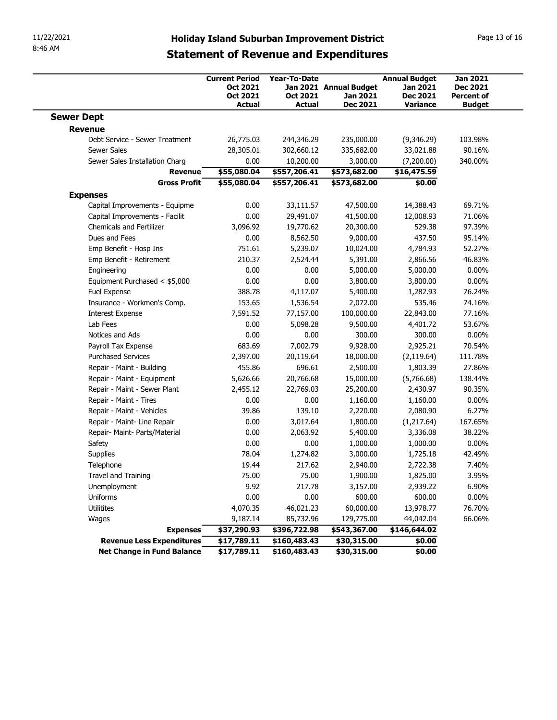| 11/22/2021<br>8:46 AM<br><b>Sewer Dept</b><br>Revenue<br>Debt Service - Sewer Treatment<br><b>Sewer Sales</b><br>Sewer Sales Installation Charg<br><b>Revenue</b><br><b>Gross Profit</b><br><b>Expenses</b> | <b>Current Period</b><br>Oct 2021<br>Oct 2021<br><b>Actual</b><br>26,775.03<br>28,305.01<br>0.00 | <b>Year-To-Date</b><br>Oct 2021<br>Actual<br>244,346.29 | <b>Holiday Island Suburban Improvement District</b><br><b>Statement of Revenue and Expenditures</b><br>Jan 2021 Annual Budget<br>Jan 2021<br>Dec 2021 | <b>Annual Budget</b><br>Jan 2021<br><b>Dec 2021</b><br>Variance | Page 13 of 16<br><b>Jan 2021</b><br><b>Dec 2021</b> |
|-------------------------------------------------------------------------------------------------------------------------------------------------------------------------------------------------------------|--------------------------------------------------------------------------------------------------|---------------------------------------------------------|-------------------------------------------------------------------------------------------------------------------------------------------------------|-----------------------------------------------------------------|-----------------------------------------------------|
|                                                                                                                                                                                                             |                                                                                                  |                                                         |                                                                                                                                                       |                                                                 |                                                     |
|                                                                                                                                                                                                             |                                                                                                  |                                                         |                                                                                                                                                       |                                                                 | <b>Percent of</b><br><b>Budget</b>                  |
|                                                                                                                                                                                                             |                                                                                                  |                                                         |                                                                                                                                                       |                                                                 |                                                     |
|                                                                                                                                                                                                             |                                                                                                  |                                                         |                                                                                                                                                       |                                                                 |                                                     |
|                                                                                                                                                                                                             |                                                                                                  |                                                         | 235,000.00                                                                                                                                            | (9,346.29)                                                      | 103.98%                                             |
|                                                                                                                                                                                                             |                                                                                                  | 302,660.12<br>10,200.00                                 | 335,682.00<br>3,000.00                                                                                                                                | 33,021.88<br>(7,200.00)                                         | 90.16%<br>340.00%                                   |
|                                                                                                                                                                                                             | \$55,080.04                                                                                      | \$557,206.41                                            | \$573,682.00                                                                                                                                          | \$16,475.59                                                     |                                                     |
|                                                                                                                                                                                                             | \$55,080.04                                                                                      | \$557,206.41                                            | \$573,682.00                                                                                                                                          | \$0.00                                                          |                                                     |
|                                                                                                                                                                                                             |                                                                                                  |                                                         |                                                                                                                                                       |                                                                 |                                                     |
| Capital Improvements - Equipme                                                                                                                                                                              | 0.00                                                                                             | 33,111.57                                               | 47,500.00                                                                                                                                             | 14,388.43                                                       | 69.71%                                              |
| Capital Improvements - Facilit                                                                                                                                                                              | 0.00                                                                                             | 29,491.07                                               | 41,500.00                                                                                                                                             | 12,008.93                                                       | 71.06%                                              |
| Chemicals and Fertilizer                                                                                                                                                                                    | 3,096.92                                                                                         | 19,770.62                                               | 20,300.00                                                                                                                                             | 529.38                                                          | 97.39%                                              |
| Dues and Fees                                                                                                                                                                                               | 0.00                                                                                             | 8,562.50                                                | 9,000.00                                                                                                                                              | 437.50                                                          | 95.14%                                              |
| Emp Benefit - Hosp Ins<br>Emp Benefit - Retirement                                                                                                                                                          | 751.61<br>210.37                                                                                 | 5,239.07<br>2,524.44                                    | 10,024.00<br>5,391.00                                                                                                                                 | 4,784.93<br>2,866.56                                            | 52.27%<br>46.83%                                    |
| Engineering                                                                                                                                                                                                 | 0.00                                                                                             | 0.00                                                    | 5,000.00                                                                                                                                              | 5,000.00                                                        | $0.00\%$                                            |
| Equipment Purchased < \$5,000                                                                                                                                                                               | 0.00                                                                                             | 0.00                                                    | 3,800.00                                                                                                                                              | 3,800.00                                                        | $0.00\%$                                            |
| Fuel Expense                                                                                                                                                                                                | 388.78                                                                                           | 4,117.07                                                | 5,400.00                                                                                                                                              | 1,282.93                                                        | 76.24%                                              |
| Insurance - Workmen's Comp.                                                                                                                                                                                 | 153.65                                                                                           | 1,536.54                                                | 2,072.00                                                                                                                                              | 535.46                                                          | 74.16%                                              |
| <b>Interest Expense</b>                                                                                                                                                                                     | 7,591.52                                                                                         | 77,157.00                                               | 100,000.00                                                                                                                                            | 22,843.00                                                       | 77.16%                                              |
| Lab Fees                                                                                                                                                                                                    | 0.00                                                                                             | 5,098.28                                                | 9,500.00                                                                                                                                              | 4,401.72                                                        | 53.67%                                              |
| Notices and Ads                                                                                                                                                                                             | 0.00                                                                                             | 0.00                                                    | 300.00                                                                                                                                                | 300.00                                                          | $0.00\%$                                            |
| Payroll Tax Expense<br><b>Purchased Services</b>                                                                                                                                                            | 683.69<br>2,397.00                                                                               | 7,002.79<br>20,119.64                                   | 9,928.00<br>18,000.00                                                                                                                                 | 2,925.21<br>(2, 119.64)                                         | 70.54%<br>111.78%                                   |
| Repair - Maint - Building                                                                                                                                                                                   | 455.86                                                                                           | 696.61                                                  | 2,500.00                                                                                                                                              | 1,803.39                                                        | 27.86%                                              |
| Repair - Maint - Equipment                                                                                                                                                                                  | 5,626.66                                                                                         | 20,766.68                                               | 15,000.00                                                                                                                                             | (5,766.68)                                                      | 138.44%                                             |
| Repair - Maint - Sewer Plant                                                                                                                                                                                | 2,455.12                                                                                         | 22,769.03                                               | 25,200.00                                                                                                                                             | 2,430.97                                                        | 90.35%                                              |
| Repair - Maint - Tires                                                                                                                                                                                      | 0.00                                                                                             | 0.00                                                    | 1,160.00                                                                                                                                              | 1,160.00                                                        | $0.00\%$                                            |
| Repair - Maint - Vehicles                                                                                                                                                                                   | 39.86                                                                                            | 139.10                                                  | 2,220.00                                                                                                                                              | 2,080.90                                                        | 6.27%                                               |
| Repair - Maint- Line Repair                                                                                                                                                                                 | 0.00                                                                                             | 3,017.64                                                | 1,800.00                                                                                                                                              | (1,217.64)                                                      | 167.65%                                             |
| Repair- Maint- Parts/Material                                                                                                                                                                               | 0.00                                                                                             | 2,063.92                                                | 5,400.00                                                                                                                                              | 3,336.08                                                        | 38.22%                                              |
| Safety                                                                                                                                                                                                      | 0.00                                                                                             | 0.00                                                    | 1,000.00                                                                                                                                              | 1,000.00                                                        | $0.00\%$                                            |
| Supplies                                                                                                                                                                                                    | 78.04                                                                                            | 1,274.82                                                | 3,000.00                                                                                                                                              | 1,725.18                                                        | 42.49%                                              |
| Telephone<br>Travel and Training                                                                                                                                                                            | 19.44<br>75.00                                                                                   | 217.62<br>75.00                                         | 2,940.00<br>1,900.00                                                                                                                                  | 2,722.38<br>1,825.00                                            | 7.40%<br>3.95%                                      |
| Unemployment                                                                                                                                                                                                | 9.92                                                                                             | 217.78                                                  | 3,157.00                                                                                                                                              | 2,939.22                                                        | 6.90%                                               |
| Uniforms                                                                                                                                                                                                    | 0.00                                                                                             | 0.00                                                    | 600.00                                                                                                                                                | 600.00                                                          | $0.00\%$                                            |
| Utilitites                                                                                                                                                                                                  | 4,070.35                                                                                         | 46,021.23                                               | 60,000.00                                                                                                                                             | 13,978.77                                                       | 76.70%                                              |
| Wages                                                                                                                                                                                                       | 9,187.14                                                                                         | 85,732.96                                               | 129,775.00                                                                                                                                            | 44,042.04                                                       | 66.06%                                              |
| <b>Expenses</b>                                                                                                                                                                                             | \$37,290.93                                                                                      | \$396,722.98                                            | \$543,367.00                                                                                                                                          | \$146,644.02                                                    |                                                     |
| Revenue Less Expenditures<br><b>Net Change in Fund Balance</b>                                                                                                                                              | \$17,789.11<br>\$17,789.11                                                                       | \$160,483.43<br>\$160,483.43                            | \$30,315.00<br>\$30,315.00                                                                                                                            | \$0.00<br>\$0.00                                                |                                                     |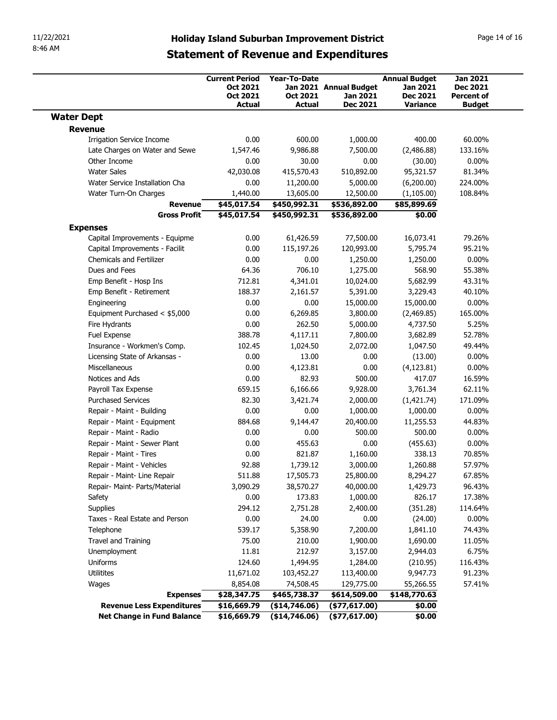| <b>Jan 2021</b><br><b>Current Period</b><br><b>Year-To-Date</b><br><b>Annual Budget</b><br>Oct 2021<br>Jan 2021 Annual Budget<br>Jan 2021<br><b>Dec 2021</b><br>Oct 2021<br>Oct 2021<br><b>Dec 2021</b><br>Jan 2021<br><b>Percent of</b><br><b>Actual</b><br>Actual<br><b>Dec 2021</b><br>Variance<br><b>Budget</b><br><b>Water Dept</b><br>Revenue<br>60.00%<br><b>Irrigation Service Income</b><br>0.00<br>600.00<br>1,000.00<br>400.00<br>Late Charges on Water and Sewe<br>1,547.46<br>9,986.88<br>7,500.00<br>(2,486.88)<br>133.16%<br>Other Income<br>30.00<br>0.00<br>(30.00)<br>$0.00\%$<br>0.00<br><b>Water Sales</b><br>42,030.08<br>415,570.43<br>510,892.00<br>95,321.57<br>81.34%<br>Water Service Installation Cha<br>0.00<br>11,200.00<br>5,000.00<br>(6,200.00)<br>224.00%<br>1,440.00<br>(1, 105.00)<br>108.84%<br>Water Turn-On Charges<br>13,605.00<br>12,500.00<br>Revenue<br>\$45,017.54<br>\$450,992.31<br>\$536,892.00<br>\$85,899.69<br><b>Gross Profit</b><br>\$45,017.54<br>\$450,992.31<br>\$536,892.00<br>\$0.00<br><b>Expenses</b><br>Capital Improvements - Equipme<br>61,426.59<br>77,500.00<br>16,073.41<br>79.26%<br>0.00<br>0.00<br>120,993.00<br>95.21%<br>Capital Improvements - Facilit<br>115,197.26<br>5,795.74<br>Chemicals and Fertilizer<br>0.00<br>$0.00\%$<br>0.00<br>1,250.00<br>1,250.00<br>Dues and Fees<br>64.36<br>706.10<br>1,275.00<br>568.90<br>55.38%<br>Emp Benefit - Hosp Ins<br>712.81<br>4,341.01<br>10,024.00<br>5,682.99<br>43.31%<br>40.10%<br>Emp Benefit - Retirement<br>188.37<br>2,161.57<br>5,391.00<br>3,229.43<br>0.00<br>$0.00\%$<br>Engineering<br>0.00<br>15,000.00<br>15,000.00<br>Equipment Purchased < \$5,000<br>0.00<br>6,269.85<br>3,800.00<br>(2,469.85)<br>165.00%<br>0.00<br>262.50<br>Fire Hydrants<br>5,000.00<br>4,737.50<br>5.25%<br>Fuel Expense<br>388.78<br>4,117.11<br>7,800.00<br>3,682.89<br>52.78%<br>Insurance - Workmen's Comp.<br>1,047.50<br>49.44%<br>102.45<br>1,024.50<br>2,072.00<br>0.00<br>13.00<br>$0.00\%$<br>Licensing State of Arkansas -<br>0.00<br>(13.00)<br>Miscellaneous<br>0.00<br>0.00<br>$0.00\%$<br>4,123.81<br>(4, 123.81) |  |
|----------------------------------------------------------------------------------------------------------------------------------------------------------------------------------------------------------------------------------------------------------------------------------------------------------------------------------------------------------------------------------------------------------------------------------------------------------------------------------------------------------------------------------------------------------------------------------------------------------------------------------------------------------------------------------------------------------------------------------------------------------------------------------------------------------------------------------------------------------------------------------------------------------------------------------------------------------------------------------------------------------------------------------------------------------------------------------------------------------------------------------------------------------------------------------------------------------------------------------------------------------------------------------------------------------------------------------------------------------------------------------------------------------------------------------------------------------------------------------------------------------------------------------------------------------------------------------------------------------------------------------------------------------------------------------------------------------------------------------------------------------------------------------------------------------------------------------------------------------------------------------------------------------------------------------------------------------------------------------------------------------------------------------------------------------------------------------------------------------------------------------------------|--|
|                                                                                                                                                                                                                                                                                                                                                                                                                                                                                                                                                                                                                                                                                                                                                                                                                                                                                                                                                                                                                                                                                                                                                                                                                                                                                                                                                                                                                                                                                                                                                                                                                                                                                                                                                                                                                                                                                                                                                                                                                                                                                                                                              |  |
|                                                                                                                                                                                                                                                                                                                                                                                                                                                                                                                                                                                                                                                                                                                                                                                                                                                                                                                                                                                                                                                                                                                                                                                                                                                                                                                                                                                                                                                                                                                                                                                                                                                                                                                                                                                                                                                                                                                                                                                                                                                                                                                                              |  |
|                                                                                                                                                                                                                                                                                                                                                                                                                                                                                                                                                                                                                                                                                                                                                                                                                                                                                                                                                                                                                                                                                                                                                                                                                                                                                                                                                                                                                                                                                                                                                                                                                                                                                                                                                                                                                                                                                                                                                                                                                                                                                                                                              |  |
|                                                                                                                                                                                                                                                                                                                                                                                                                                                                                                                                                                                                                                                                                                                                                                                                                                                                                                                                                                                                                                                                                                                                                                                                                                                                                                                                                                                                                                                                                                                                                                                                                                                                                                                                                                                                                                                                                                                                                                                                                                                                                                                                              |  |
|                                                                                                                                                                                                                                                                                                                                                                                                                                                                                                                                                                                                                                                                                                                                                                                                                                                                                                                                                                                                                                                                                                                                                                                                                                                                                                                                                                                                                                                                                                                                                                                                                                                                                                                                                                                                                                                                                                                                                                                                                                                                                                                                              |  |
|                                                                                                                                                                                                                                                                                                                                                                                                                                                                                                                                                                                                                                                                                                                                                                                                                                                                                                                                                                                                                                                                                                                                                                                                                                                                                                                                                                                                                                                                                                                                                                                                                                                                                                                                                                                                                                                                                                                                                                                                                                                                                                                                              |  |
|                                                                                                                                                                                                                                                                                                                                                                                                                                                                                                                                                                                                                                                                                                                                                                                                                                                                                                                                                                                                                                                                                                                                                                                                                                                                                                                                                                                                                                                                                                                                                                                                                                                                                                                                                                                                                                                                                                                                                                                                                                                                                                                                              |  |
|                                                                                                                                                                                                                                                                                                                                                                                                                                                                                                                                                                                                                                                                                                                                                                                                                                                                                                                                                                                                                                                                                                                                                                                                                                                                                                                                                                                                                                                                                                                                                                                                                                                                                                                                                                                                                                                                                                                                                                                                                                                                                                                                              |  |
|                                                                                                                                                                                                                                                                                                                                                                                                                                                                                                                                                                                                                                                                                                                                                                                                                                                                                                                                                                                                                                                                                                                                                                                                                                                                                                                                                                                                                                                                                                                                                                                                                                                                                                                                                                                                                                                                                                                                                                                                                                                                                                                                              |  |
|                                                                                                                                                                                                                                                                                                                                                                                                                                                                                                                                                                                                                                                                                                                                                                                                                                                                                                                                                                                                                                                                                                                                                                                                                                                                                                                                                                                                                                                                                                                                                                                                                                                                                                                                                                                                                                                                                                                                                                                                                                                                                                                                              |  |
|                                                                                                                                                                                                                                                                                                                                                                                                                                                                                                                                                                                                                                                                                                                                                                                                                                                                                                                                                                                                                                                                                                                                                                                                                                                                                                                                                                                                                                                                                                                                                                                                                                                                                                                                                                                                                                                                                                                                                                                                                                                                                                                                              |  |
|                                                                                                                                                                                                                                                                                                                                                                                                                                                                                                                                                                                                                                                                                                                                                                                                                                                                                                                                                                                                                                                                                                                                                                                                                                                                                                                                                                                                                                                                                                                                                                                                                                                                                                                                                                                                                                                                                                                                                                                                                                                                                                                                              |  |
|                                                                                                                                                                                                                                                                                                                                                                                                                                                                                                                                                                                                                                                                                                                                                                                                                                                                                                                                                                                                                                                                                                                                                                                                                                                                                                                                                                                                                                                                                                                                                                                                                                                                                                                                                                                                                                                                                                                                                                                                                                                                                                                                              |  |
|                                                                                                                                                                                                                                                                                                                                                                                                                                                                                                                                                                                                                                                                                                                                                                                                                                                                                                                                                                                                                                                                                                                                                                                                                                                                                                                                                                                                                                                                                                                                                                                                                                                                                                                                                                                                                                                                                                                                                                                                                                                                                                                                              |  |
|                                                                                                                                                                                                                                                                                                                                                                                                                                                                                                                                                                                                                                                                                                                                                                                                                                                                                                                                                                                                                                                                                                                                                                                                                                                                                                                                                                                                                                                                                                                                                                                                                                                                                                                                                                                                                                                                                                                                                                                                                                                                                                                                              |  |
|                                                                                                                                                                                                                                                                                                                                                                                                                                                                                                                                                                                                                                                                                                                                                                                                                                                                                                                                                                                                                                                                                                                                                                                                                                                                                                                                                                                                                                                                                                                                                                                                                                                                                                                                                                                                                                                                                                                                                                                                                                                                                                                                              |  |
|                                                                                                                                                                                                                                                                                                                                                                                                                                                                                                                                                                                                                                                                                                                                                                                                                                                                                                                                                                                                                                                                                                                                                                                                                                                                                                                                                                                                                                                                                                                                                                                                                                                                                                                                                                                                                                                                                                                                                                                                                                                                                                                                              |  |
|                                                                                                                                                                                                                                                                                                                                                                                                                                                                                                                                                                                                                                                                                                                                                                                                                                                                                                                                                                                                                                                                                                                                                                                                                                                                                                                                                                                                                                                                                                                                                                                                                                                                                                                                                                                                                                                                                                                                                                                                                                                                                                                                              |  |
|                                                                                                                                                                                                                                                                                                                                                                                                                                                                                                                                                                                                                                                                                                                                                                                                                                                                                                                                                                                                                                                                                                                                                                                                                                                                                                                                                                                                                                                                                                                                                                                                                                                                                                                                                                                                                                                                                                                                                                                                                                                                                                                                              |  |
|                                                                                                                                                                                                                                                                                                                                                                                                                                                                                                                                                                                                                                                                                                                                                                                                                                                                                                                                                                                                                                                                                                                                                                                                                                                                                                                                                                                                                                                                                                                                                                                                                                                                                                                                                                                                                                                                                                                                                                                                                                                                                                                                              |  |
|                                                                                                                                                                                                                                                                                                                                                                                                                                                                                                                                                                                                                                                                                                                                                                                                                                                                                                                                                                                                                                                                                                                                                                                                                                                                                                                                                                                                                                                                                                                                                                                                                                                                                                                                                                                                                                                                                                                                                                                                                                                                                                                                              |  |
|                                                                                                                                                                                                                                                                                                                                                                                                                                                                                                                                                                                                                                                                                                                                                                                                                                                                                                                                                                                                                                                                                                                                                                                                                                                                                                                                                                                                                                                                                                                                                                                                                                                                                                                                                                                                                                                                                                                                                                                                                                                                                                                                              |  |
| Notices and Ads<br>0.00<br>82.93<br>500.00<br>417.07<br>16.59%                                                                                                                                                                                                                                                                                                                                                                                                                                                                                                                                                                                                                                                                                                                                                                                                                                                                                                                                                                                                                                                                                                                                                                                                                                                                                                                                                                                                                                                                                                                                                                                                                                                                                                                                                                                                                                                                                                                                                                                                                                                                               |  |
| 6,166.66<br>62.11%<br>Payroll Tax Expense<br>659.15<br>9,928.00<br>3,761.34                                                                                                                                                                                                                                                                                                                                                                                                                                                                                                                                                                                                                                                                                                                                                                                                                                                                                                                                                                                                                                                                                                                                                                                                                                                                                                                                                                                                                                                                                                                                                                                                                                                                                                                                                                                                                                                                                                                                                                                                                                                                  |  |
| <b>Purchased Services</b><br>82.30<br>3,421.74<br>2,000.00<br>(1,421.74)<br>171.09%                                                                                                                                                                                                                                                                                                                                                                                                                                                                                                                                                                                                                                                                                                                                                                                                                                                                                                                                                                                                                                                                                                                                                                                                                                                                                                                                                                                                                                                                                                                                                                                                                                                                                                                                                                                                                                                                                                                                                                                                                                                          |  |
| Repair - Maint - Building<br>0.00<br>1,000.00<br>$0.00\%$<br>0.00<br>1,000.00                                                                                                                                                                                                                                                                                                                                                                                                                                                                                                                                                                                                                                                                                                                                                                                                                                                                                                                                                                                                                                                                                                                                                                                                                                                                                                                                                                                                                                                                                                                                                                                                                                                                                                                                                                                                                                                                                                                                                                                                                                                                |  |
| Repair - Maint - Equipment<br>44.83%<br>884.68<br>9,144.47<br>20,400.00<br>11,255.53                                                                                                                                                                                                                                                                                                                                                                                                                                                                                                                                                                                                                                                                                                                                                                                                                                                                                                                                                                                                                                                                                                                                                                                                                                                                                                                                                                                                                                                                                                                                                                                                                                                                                                                                                                                                                                                                                                                                                                                                                                                         |  |
| 0.00<br>0.00<br>500.00<br>500.00<br>$0.00\%$<br>Repair - Maint - Radio                                                                                                                                                                                                                                                                                                                                                                                                                                                                                                                                                                                                                                                                                                                                                                                                                                                                                                                                                                                                                                                                                                                                                                                                                                                                                                                                                                                                                                                                                                                                                                                                                                                                                                                                                                                                                                                                                                                                                                                                                                                                       |  |
| Repair - Maint - Sewer Plant<br>$0.00\%$<br>0.00<br>455.63<br>0.00<br>(455.63)<br>821.87<br>338.13<br>70.85%<br>Repair - Maint - Tires<br>0.00<br>1,160.00                                                                                                                                                                                                                                                                                                                                                                                                                                                                                                                                                                                                                                                                                                                                                                                                                                                                                                                                                                                                                                                                                                                                                                                                                                                                                                                                                                                                                                                                                                                                                                                                                                                                                                                                                                                                                                                                                                                                                                                   |  |
| Repair - Maint - Vehicles<br>92.88<br>1,260.88<br>57.97%<br>1,739.12<br>3,000.00                                                                                                                                                                                                                                                                                                                                                                                                                                                                                                                                                                                                                                                                                                                                                                                                                                                                                                                                                                                                                                                                                                                                                                                                                                                                                                                                                                                                                                                                                                                                                                                                                                                                                                                                                                                                                                                                                                                                                                                                                                                             |  |
| 8,294.27<br>67.85%<br>Repair - Maint- Line Repair<br>511.88<br>17,505.73<br>25,800.00                                                                                                                                                                                                                                                                                                                                                                                                                                                                                                                                                                                                                                                                                                                                                                                                                                                                                                                                                                                                                                                                                                                                                                                                                                                                                                                                                                                                                                                                                                                                                                                                                                                                                                                                                                                                                                                                                                                                                                                                                                                        |  |
| 38,570.27<br>96.43%<br>Repair- Maint- Parts/Material<br>3,090.29<br>40,000.00<br>1,429.73                                                                                                                                                                                                                                                                                                                                                                                                                                                                                                                                                                                                                                                                                                                                                                                                                                                                                                                                                                                                                                                                                                                                                                                                                                                                                                                                                                                                                                                                                                                                                                                                                                                                                                                                                                                                                                                                                                                                                                                                                                                    |  |
| 0.00<br>173.83<br>826.17<br>17.38%<br>Safety<br>1,000.00                                                                                                                                                                                                                                                                                                                                                                                                                                                                                                                                                                                                                                                                                                                                                                                                                                                                                                                                                                                                                                                                                                                                                                                                                                                                                                                                                                                                                                                                                                                                                                                                                                                                                                                                                                                                                                                                                                                                                                                                                                                                                     |  |
| 294.12<br>(351.28)<br>Supplies<br>2,751.28<br>2,400.00<br>114.64%                                                                                                                                                                                                                                                                                                                                                                                                                                                                                                                                                                                                                                                                                                                                                                                                                                                                                                                                                                                                                                                                                                                                                                                                                                                                                                                                                                                                                                                                                                                                                                                                                                                                                                                                                                                                                                                                                                                                                                                                                                                                            |  |
| 0.00<br>24.00<br>0.00<br>(24.00)<br>$0.00\%$<br>Taxes - Real Estate and Person                                                                                                                                                                                                                                                                                                                                                                                                                                                                                                                                                                                                                                                                                                                                                                                                                                                                                                                                                                                                                                                                                                                                                                                                                                                                                                                                                                                                                                                                                                                                                                                                                                                                                                                                                                                                                                                                                                                                                                                                                                                               |  |
| 74.43%<br>Telephone<br>539.17<br>5,358.90<br>7,200.00<br>1,841.10                                                                                                                                                                                                                                                                                                                                                                                                                                                                                                                                                                                                                                                                                                                                                                                                                                                                                                                                                                                                                                                                                                                                                                                                                                                                                                                                                                                                                                                                                                                                                                                                                                                                                                                                                                                                                                                                                                                                                                                                                                                                            |  |
| Travel and Training<br>75.00<br>11.05%<br>210.00<br>1,900.00<br>1,690.00<br>11.81<br>212.97<br>6.75%                                                                                                                                                                                                                                                                                                                                                                                                                                                                                                                                                                                                                                                                                                                                                                                                                                                                                                                                                                                                                                                                                                                                                                                                                                                                                                                                                                                                                                                                                                                                                                                                                                                                                                                                                                                                                                                                                                                                                                                                                                         |  |
| 3,157.00<br>Unemployment<br>2,944.03<br>124.60<br>1,284.00<br>116.43%<br>Uniforms<br>1,494.95<br>(210.95)                                                                                                                                                                                                                                                                                                                                                                                                                                                                                                                                                                                                                                                                                                                                                                                                                                                                                                                                                                                                                                                                                                                                                                                                                                                                                                                                                                                                                                                                                                                                                                                                                                                                                                                                                                                                                                                                                                                                                                                                                                    |  |
| Utilitites<br>9,947.73<br>91.23%<br>11,671.02<br>103,452.27<br>113,400.00                                                                                                                                                                                                                                                                                                                                                                                                                                                                                                                                                                                                                                                                                                                                                                                                                                                                                                                                                                                                                                                                                                                                                                                                                                                                                                                                                                                                                                                                                                                                                                                                                                                                                                                                                                                                                                                                                                                                                                                                                                                                    |  |
| 8,854.08<br>74,508.45<br>129,775.00<br>55,266.55<br>57.41%<br>Wages                                                                                                                                                                                                                                                                                                                                                                                                                                                                                                                                                                                                                                                                                                                                                                                                                                                                                                                                                                                                                                                                                                                                                                                                                                                                                                                                                                                                                                                                                                                                                                                                                                                                                                                                                                                                                                                                                                                                                                                                                                                                          |  |
| \$28,347.75<br>\$465,738.37<br>\$614,509.00<br>\$148,770.63<br><b>Expenses</b>                                                                                                                                                                                                                                                                                                                                                                                                                                                                                                                                                                                                                                                                                                                                                                                                                                                                                                                                                                                                                                                                                                                                                                                                                                                                                                                                                                                                                                                                                                                                                                                                                                                                                                                                                                                                                                                                                                                                                                                                                                                               |  |
| \$16,669.79<br>(\$14,746.06)<br>$($ \$77,617.00)<br>\$0.00<br><b>Revenue Less Expenditures</b>                                                                                                                                                                                                                                                                                                                                                                                                                                                                                                                                                                                                                                                                                                                                                                                                                                                                                                                                                                                                                                                                                                                                                                                                                                                                                                                                                                                                                                                                                                                                                                                                                                                                                                                                                                                                                                                                                                                                                                                                                                               |  |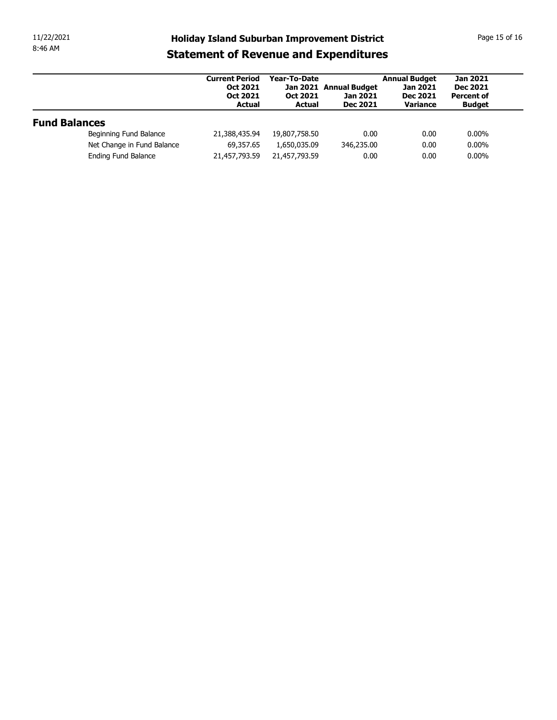| 11/22/2021<br>8:46 AM |                            | <b>Holiday Island Suburban Improvement District</b>                          |                                           |                                                       |                                                                        | Page 15 of 16                                                            |
|-----------------------|----------------------------|------------------------------------------------------------------------------|-------------------------------------------|-------------------------------------------------------|------------------------------------------------------------------------|--------------------------------------------------------------------------|
|                       |                            | <b>Statement of Revenue and Expenditures</b>                                 |                                           |                                                       |                                                                        |                                                                          |
|                       |                            | <b>Current Period</b><br><b>Oct 2021</b><br><b>Oct 2021</b><br><b>Actual</b> | Year-To-Date<br>Oct 2021<br><b>Actual</b> | Jan 2021 Annual Budget<br>Jan 2021<br><b>Dec 2021</b> | <b>Annual Budget</b><br><b>Jan 2021</b><br><b>Dec 2021</b><br>Variance | <b>Jan 2021</b><br><b>Dec 2021</b><br><b>Percent of</b><br><b>Budget</b> |
|                       |                            |                                                                              |                                           |                                                       |                                                                        |                                                                          |
| <b>Fund Balances</b>  |                            |                                                                              |                                           |                                                       |                                                                        |                                                                          |
|                       | Beginning Fund Balance     | 21,388,435.94                                                                | 19,807,758.50                             | 0.00                                                  | 0.00                                                                   | $0.00\%$                                                                 |
|                       | Net Change in Fund Balance | 69,357.65                                                                    | 1,650,035.09                              | 346,235.00                                            | 0.00                                                                   | $0.00\%$                                                                 |
|                       | Ending Fund Balance        | 21,457,793.59                                                                | 21,457,793.59                             | 0.00                                                  | 0.00                                                                   | $0.00\%$                                                                 |
|                       |                            |                                                                              |                                           |                                                       |                                                                        |                                                                          |
|                       |                            |                                                                              |                                           |                                                       |                                                                        |                                                                          |
|                       |                            |                                                                              |                                           |                                                       |                                                                        |                                                                          |